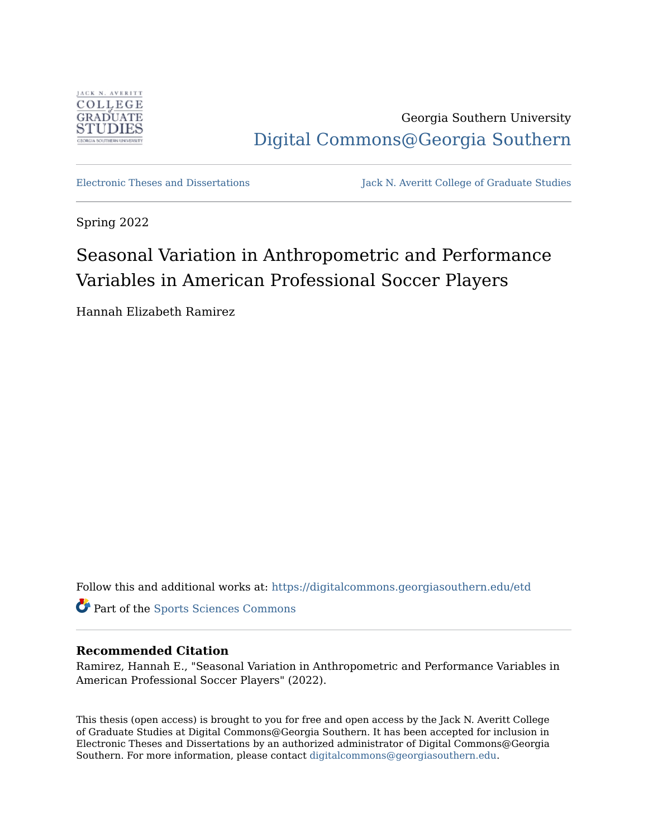

Georgia Southern University [Digital Commons@Georgia Southern](https://digitalcommons.georgiasouthern.edu/) 

[Electronic Theses and Dissertations](https://digitalcommons.georgiasouthern.edu/etd) Jack N. Averitt College of Graduate Studies

Spring 2022

# Seasonal Variation in Anthropometric and Performance Variables in American Professional Soccer Players

Hannah Elizabeth Ramirez

Follow this and additional works at: [https://digitalcommons.georgiasouthern.edu/etd](https://digitalcommons.georgiasouthern.edu/etd?utm_source=digitalcommons.georgiasouthern.edu%2Fetd%2F2440&utm_medium=PDF&utm_campaign=PDFCoverPages) 

Part of the [Sports Sciences Commons](https://network.bepress.com/hgg/discipline/759?utm_source=digitalcommons.georgiasouthern.edu%2Fetd%2F2440&utm_medium=PDF&utm_campaign=PDFCoverPages) 

# **Recommended Citation**

Ramirez, Hannah E., "Seasonal Variation in Anthropometric and Performance Variables in American Professional Soccer Players" (2022).

This thesis (open access) is brought to you for free and open access by the Jack N. Averitt College of Graduate Studies at Digital Commons@Georgia Southern. It has been accepted for inclusion in Electronic Theses and Dissertations by an authorized administrator of Digital Commons@Georgia Southern. For more information, please contact [digitalcommons@georgiasouthern.edu](mailto:digitalcommons@georgiasouthern.edu).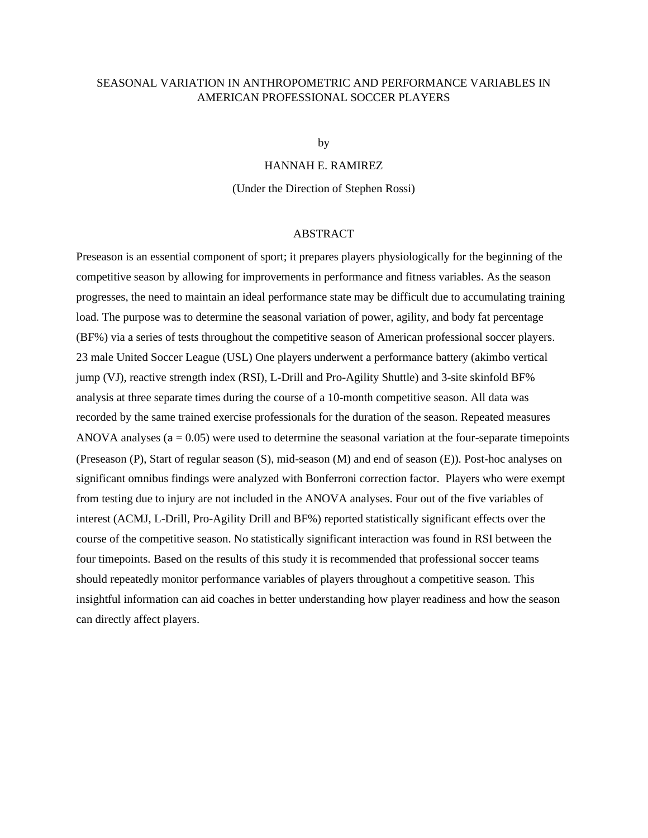# SEASONAL VARIATION IN ANTHROPOMETRIC AND PERFORMANCE VARIABLES IN AMERICAN PROFESSIONAL SOCCER PLAYERS

by

## HANNAH E. RAMIREZ

(Under the Direction of Stephen Rossi)

### ABSTRACT

Preseason is an essential component of sport; it prepares players physiologically for the beginning of the competitive season by allowing for improvements in performance and fitness variables. As the season progresses, the need to maintain an ideal performance state may be difficult due to accumulating training load. The purpose was to determine the seasonal variation of power, agility, and body fat percentage (BF%) via a series of tests throughout the competitive season of American professional soccer players. 23 male United Soccer League (USL) One players underwent a performance battery (akimbo vertical jump (VJ), reactive strength index (RSI), L-Drill and Pro-Agility Shuttle) and 3-site skinfold BF% analysis at three separate times during the course of a 10-month competitive season. All data was recorded by the same trained exercise professionals for the duration of the season. Repeated measures ANOVA analyses ( $a = 0.05$ ) were used to determine the seasonal variation at the four-separate timepoints (Preseason (P), Start of regular season (S), mid-season (M) and end of season (E)). Post-hoc analyses on significant omnibus findings were analyzed with Bonferroni correction factor. Players who were exempt from testing due to injury are not included in the ANOVA analyses. Four out of the five variables of interest (ACMJ, L-Drill, Pro-Agility Drill and BF%) reported statistically significant effects over the course of the competitive season. No statistically significant interaction was found in RSI between the four timepoints. Based on the results of this study it is recommended that professional soccer teams should repeatedly monitor performance variables of players throughout a competitive season. This insightful information can aid coaches in better understanding how player readiness and how the season can directly affect players.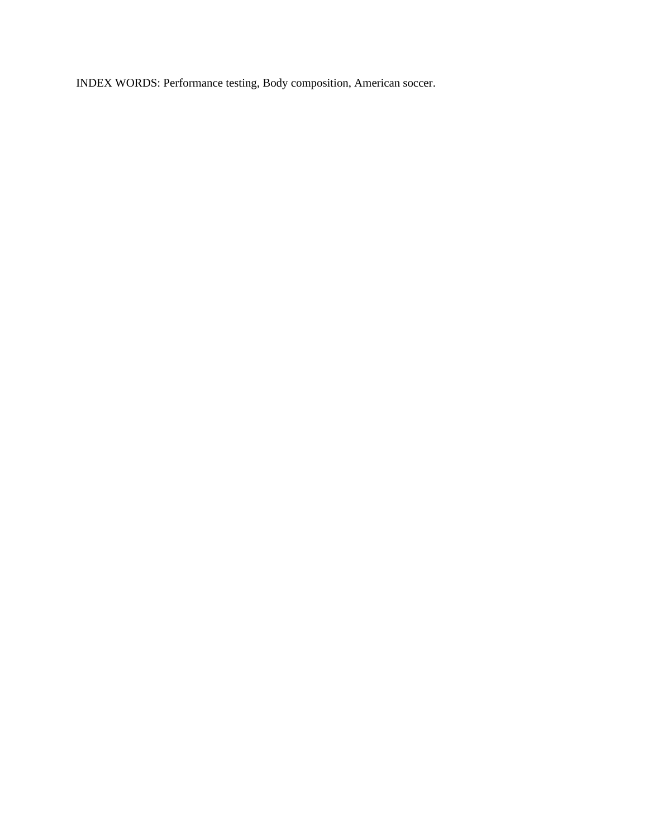INDEX WORDS: Performance testing, Body composition, American soccer.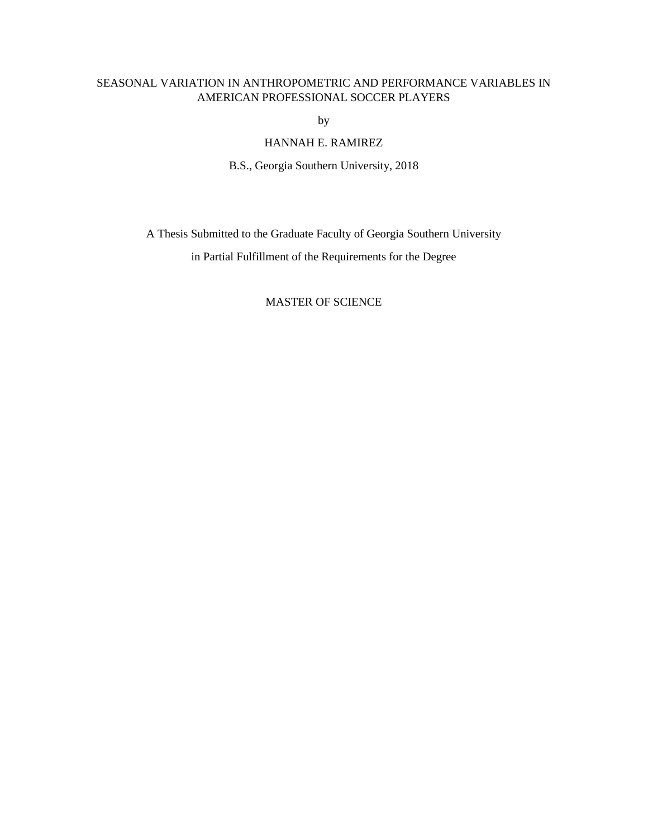# SEASONAL VARIATION IN ANTHROPOMETRIC AND PERFORMANCE VARIABLES IN AMERICAN PROFESSIONAL SOCCER PLAYERS

by

# HANNAH E. RAMIREZ

B.S., Georgia Southern University, 2018

A Thesis Submitted to the Graduate Faculty of Georgia Southern University in Partial Fulfillment of the Requirements for the Degree

## MASTER OF SCIENCE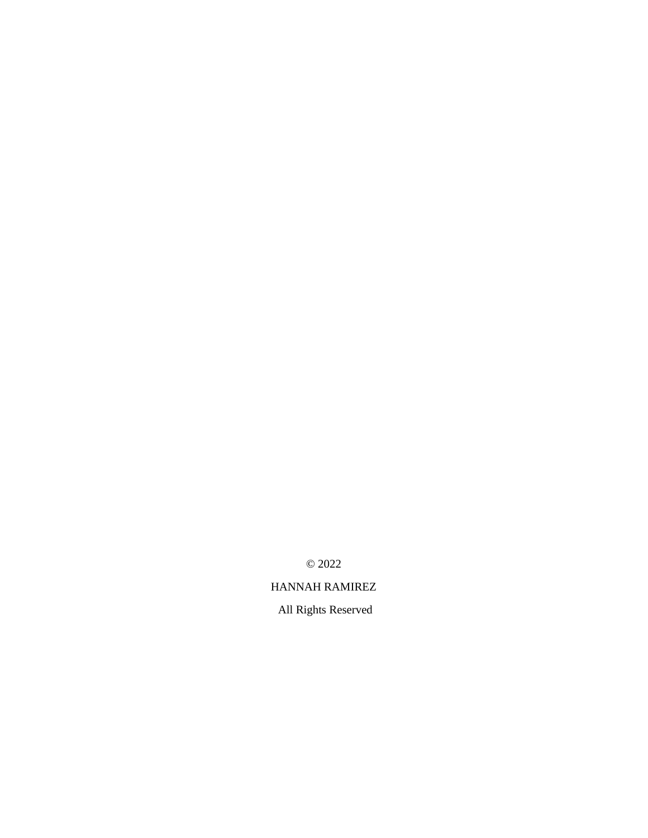© 2022

HANNAH RAMIREZ

All Rights Reserved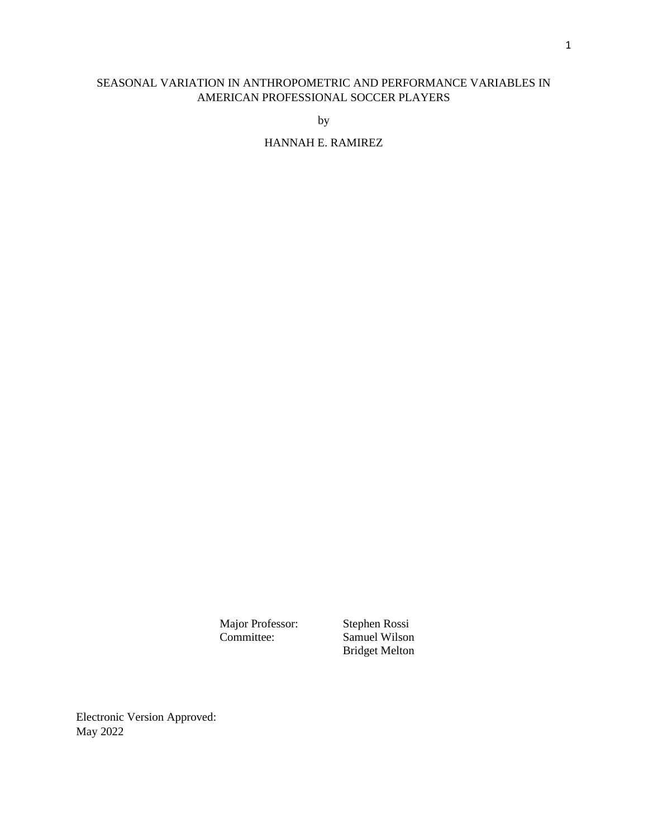# SEASONAL VARIATION IN ANTHROPOMETRIC AND PERFORMANCE VARIABLES IN AMERICAN PROFESSIONAL SOCCER PLAYERS

by

# HANNAH E. RAMIREZ

Major Professor: Stephen Rossi<br>Committee: Samuel Wilson

Samuel Wilson Bridget Melton

Electronic Version Approved: May 2022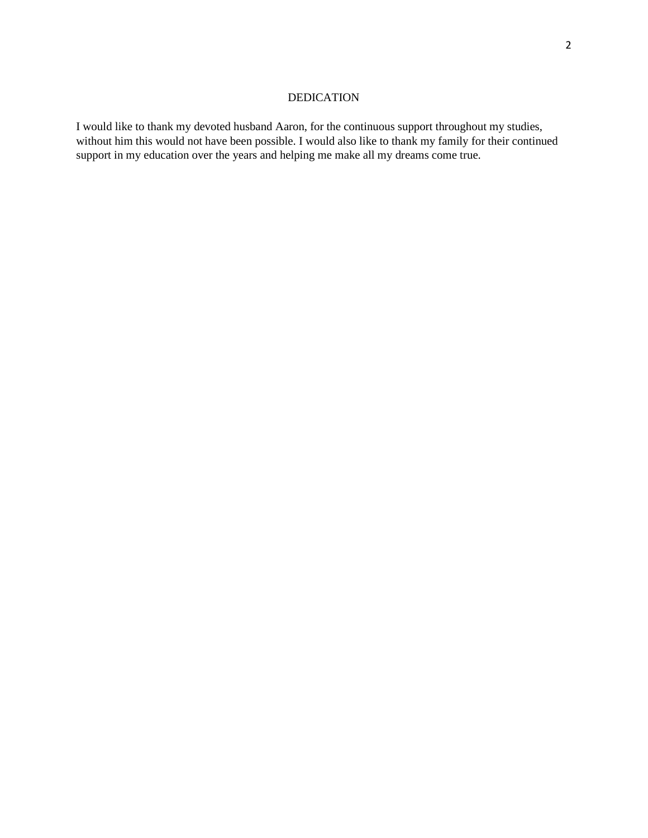# DEDICATION

I would like to thank my devoted husband Aaron, for the continuous support throughout my studies, without him this would not have been possible. I would also like to thank my family for their continued support in my education over the years and helping me make all my dreams come true.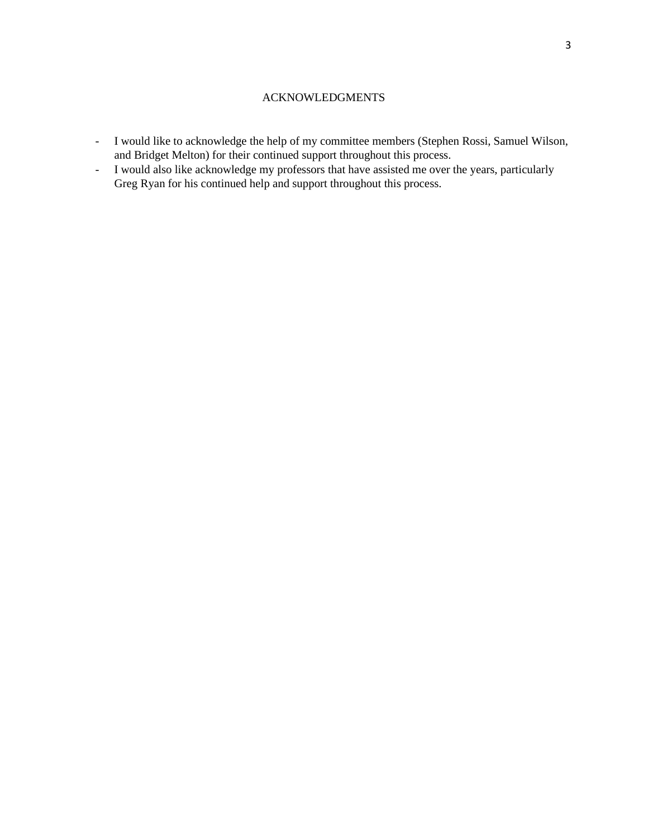# ACKNOWLEDGMENTS

- I would like to acknowledge the help of my committee members (Stephen Rossi, Samuel Wilson, and Bridget Melton) for their continued support throughout this process.
- I would also like acknowledge my professors that have assisted me over the years, particularly Greg Ryan for his continued help and support throughout this process.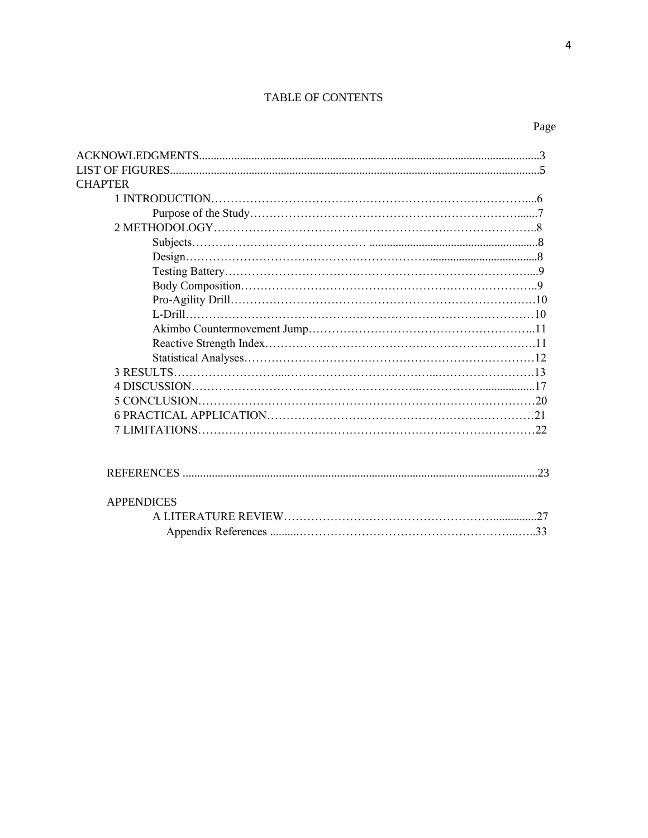# TABLE OF CONTENTS

| <b>CHAPTER</b>    |  |
|-------------------|--|
|                   |  |
|                   |  |
|                   |  |
|                   |  |
|                   |  |
|                   |  |
|                   |  |
|                   |  |
|                   |  |
|                   |  |
|                   |  |
|                   |  |
|                   |  |
|                   |  |
|                   |  |
|                   |  |
|                   |  |
|                   |  |
|                   |  |
|                   |  |
|                   |  |
| <b>APPENDICES</b> |  |
|                   |  |
|                   |  |
|                   |  |

Page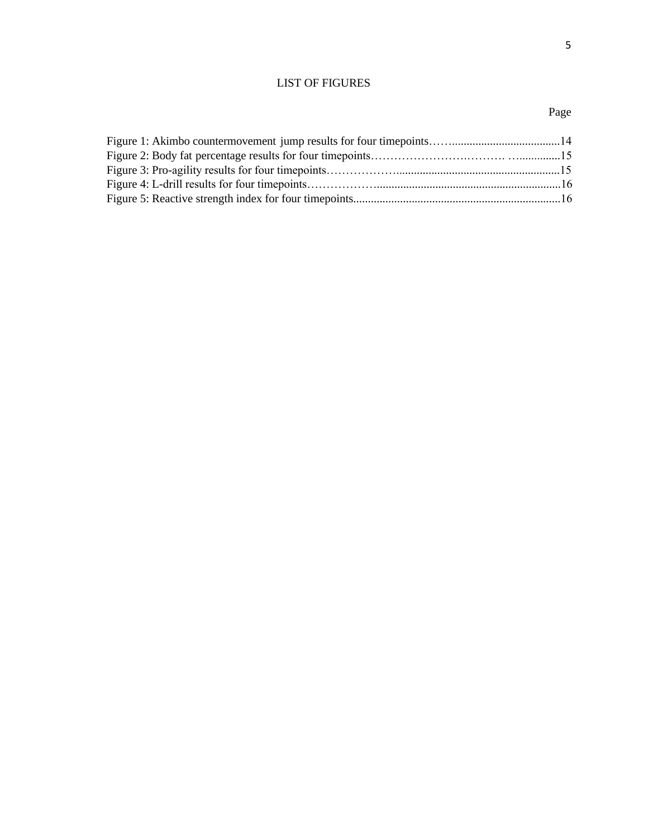# LIST OF FIGURES

# Page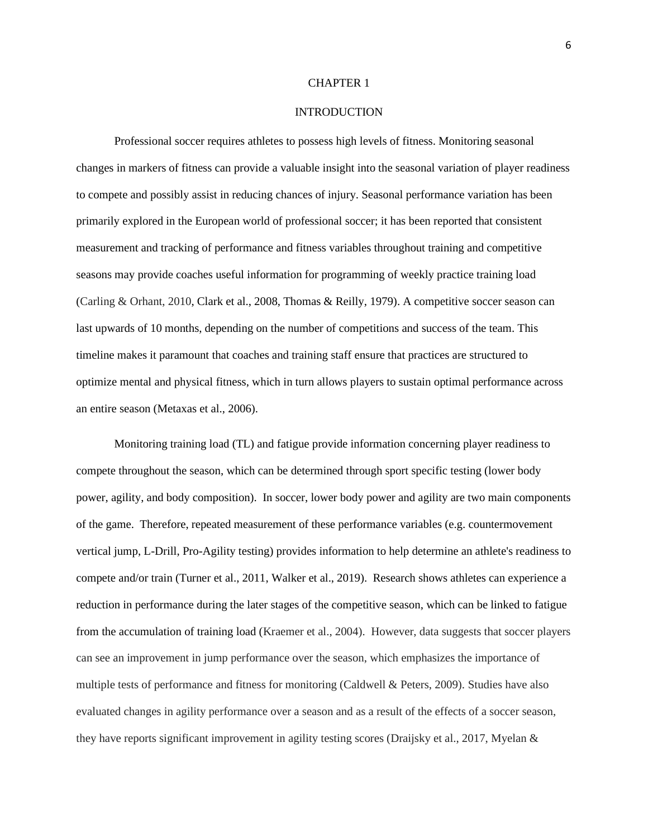#### **INTRODUCTION**

Professional soccer requires athletes to possess high levels of fitness. Monitoring seasonal changes in markers of fitness can provide a valuable insight into the seasonal variation of player readiness to compete and possibly assist in reducing chances of injury. Seasonal performance variation has been primarily explored in the European world of professional soccer; it has been reported that consistent measurement and tracking of performance and fitness variables throughout training and competitive seasons may provide coaches useful information for programming of weekly practice training load (Carling & Orhant, 2010, Clark et al., 2008, Thomas & Reilly, 1979). A competitive soccer season can last upwards of 10 months, depending on the number of competitions and success of the team. This timeline makes it paramount that coaches and training staff ensure that practices are structured to optimize mental and physical fitness, which in turn allows players to sustain optimal performance across an entire season (Metaxas et al., 2006).

Monitoring training load (TL) and fatigue provide information concerning player readiness to compete throughout the season, which can be determined through sport specific testing (lower body power, agility, and body composition). In soccer, lower body power and agility are two main components of the game. Therefore, repeated measurement of these performance variables (e.g. countermovement vertical jump, L-Drill, Pro-Agility testing) provides information to help determine an athlete's readiness to compete and/or train (Turner et al., 2011, Walker et al., 2019). Research shows athletes can experience a reduction in performance during the later stages of the competitive season, which can be linked to fatigue from the accumulation of training load (Kraemer et al., 2004). However, data suggests that soccer players can see an improvement in jump performance over the season, which emphasizes the importance of multiple tests of performance and fitness for monitoring (Caldwell & Peters, 2009). Studies have also evaluated changes in agility performance over a season and as a result of the effects of a soccer season, they have reports significant improvement in agility testing scores (Draijsky et al., 2017, Myelan &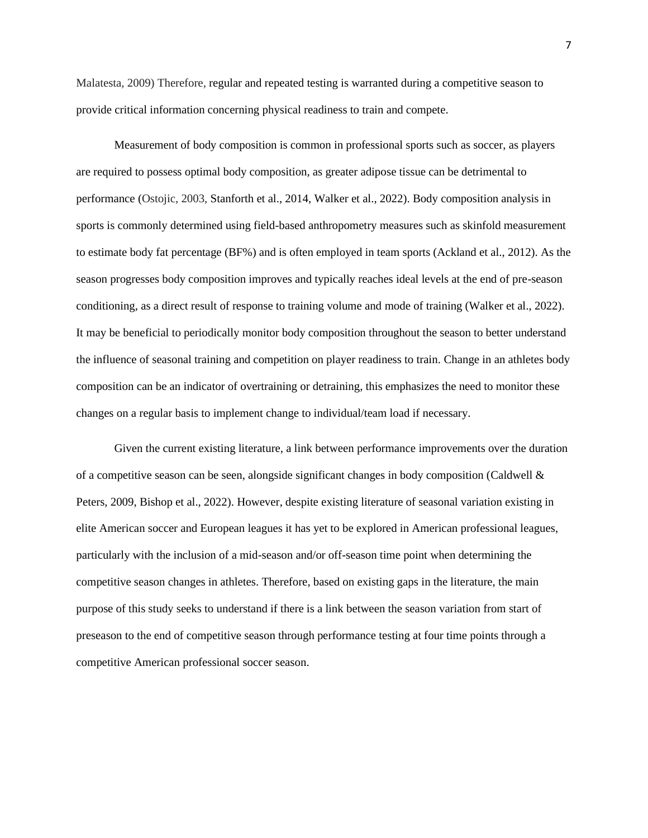Malatesta, 2009) Therefore, regular and repeated testing is warranted during a competitive season to provide critical information concerning physical readiness to train and compete.

Measurement of body composition is common in professional sports such as soccer, as players are required to possess optimal body composition, as greater adipose tissue can be detrimental to performance (Ostojic, 2003, Stanforth et al., 2014, Walker et al., 2022). Body composition analysis in sports is commonly determined using field-based anthropometry measures such as skinfold measurement to estimate body fat percentage (BF%) and is often employed in team sports (Ackland et al., 2012). As the season progresses body composition improves and typically reaches ideal levels at the end of pre-season conditioning, as a direct result of response to training volume and mode of training (Walker et al., 2022). It may be beneficial to periodically monitor body composition throughout the season to better understand the influence of seasonal training and competition on player readiness to train. Change in an athletes body composition can be an indicator of overtraining or detraining, this emphasizes the need to monitor these changes on a regular basis to implement change to individual/team load if necessary.

Given the current existing literature, a link between performance improvements over the duration of a competitive season can be seen, alongside significant changes in body composition (Caldwell  $\&$ Peters, 2009, Bishop et al., 2022). However, despite existing literature of seasonal variation existing in elite American soccer and European leagues it has yet to be explored in American professional leagues, particularly with the inclusion of a mid-season and/or off-season time point when determining the competitive season changes in athletes. Therefore, based on existing gaps in the literature, the main purpose of this study seeks to understand if there is a link between the season variation from start of preseason to the end of competitive season through performance testing at four time points through a competitive American professional soccer season.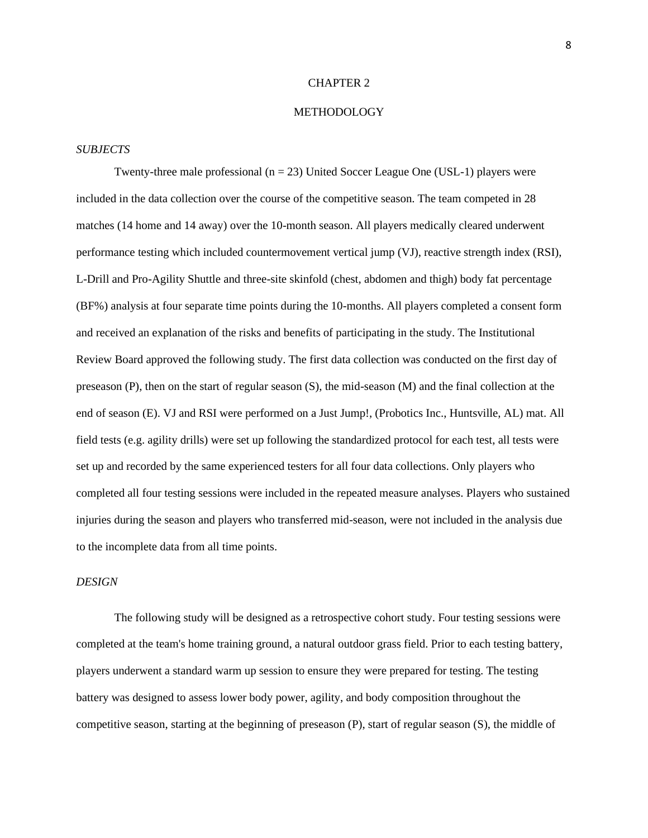#### METHODOLOGY

#### *SUBJECTS*

Twenty-three male professional ( $n = 23$ ) United Soccer League One (USL-1) players were included in the data collection over the course of the competitive season. The team competed in 28 matches (14 home and 14 away) over the 10-month season. All players medically cleared underwent performance testing which included countermovement vertical jump (VJ), reactive strength index (RSI), L-Drill and Pro-Agility Shuttle and three-site skinfold (chest, abdomen and thigh) body fat percentage (BF%) analysis at four separate time points during the 10-months. All players completed a consent form and received an explanation of the risks and benefits of participating in the study. The Institutional Review Board approved the following study. The first data collection was conducted on the first day of preseason (P), then on the start of regular season (S), the mid-season (M) and the final collection at the end of season (E). VJ and RSI were performed on a Just Jump!, (Probotics Inc., Huntsville, AL) mat. All field tests (e.g. agility drills) were set up following the standardized protocol for each test, all tests were set up and recorded by the same experienced testers for all four data collections. Only players who completed all four testing sessions were included in the repeated measure analyses. Players who sustained injuries during the season and players who transferred mid-season, were not included in the analysis due to the incomplete data from all time points.

## *DESIGN*

The following study will be designed as a retrospective cohort study. Four testing sessions were completed at the team's home training ground, a natural outdoor grass field. Prior to each testing battery, players underwent a standard warm up session to ensure they were prepared for testing. The testing battery was designed to assess lower body power, agility, and body composition throughout the competitive season, starting at the beginning of preseason (P), start of regular season (S), the middle of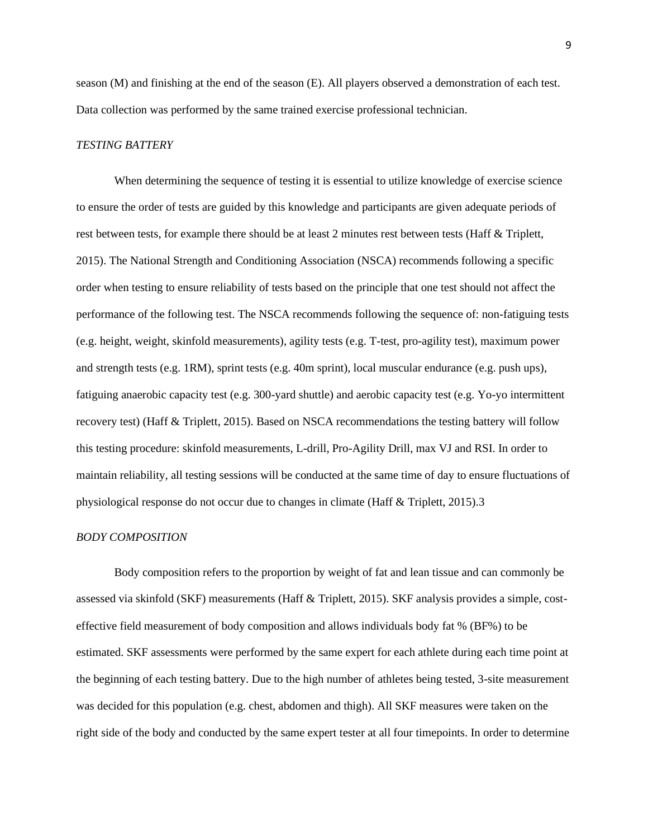season (M) and finishing at the end of the season (E). All players observed a demonstration of each test. Data collection was performed by the same trained exercise professional technician.

#### *TESTING BATTERY*

When determining the sequence of testing it is essential to utilize knowledge of exercise science to ensure the order of tests are guided by this knowledge and participants are given adequate periods of rest between tests, for example there should be at least 2 minutes rest between tests (Haff & Triplett, 2015). The National Strength and Conditioning Association (NSCA) recommends following a specific order when testing to ensure reliability of tests based on the principle that one test should not affect the performance of the following test. The NSCA recommends following the sequence of: non-fatiguing tests (e.g. height, weight, skinfold measurements), agility tests (e.g. T-test, pro-agility test), maximum power and strength tests (e.g. 1RM), sprint tests (e.g. 40m sprint), local muscular endurance (e.g. push ups), fatiguing anaerobic capacity test (e.g. 300-yard shuttle) and aerobic capacity test (e.g. Yo-yo intermittent recovery test) (Haff & Triplett, 2015). Based on NSCA recommendations the testing battery will follow this testing procedure: skinfold measurements, L-drill, Pro-Agility Drill, max VJ and RSI. In order to maintain reliability, all testing sessions will be conducted at the same time of day to ensure fluctuations of physiological response do not occur due to changes in climate (Haff & Triplett, 2015).3

#### *BODY COMPOSITION*

Body composition refers to the proportion by weight of fat and lean tissue and can commonly be assessed via skinfold (SKF) measurements (Haff & Triplett, 2015). SKF analysis provides a simple, costeffective field measurement of body composition and allows individuals body fat % (BF%) to be estimated. SKF assessments were performed by the same expert for each athlete during each time point at the beginning of each testing battery. Due to the high number of athletes being tested, 3-site measurement was decided for this population (e.g. chest, abdomen and thigh). All SKF measures were taken on the right side of the body and conducted by the same expert tester at all four timepoints. In order to determine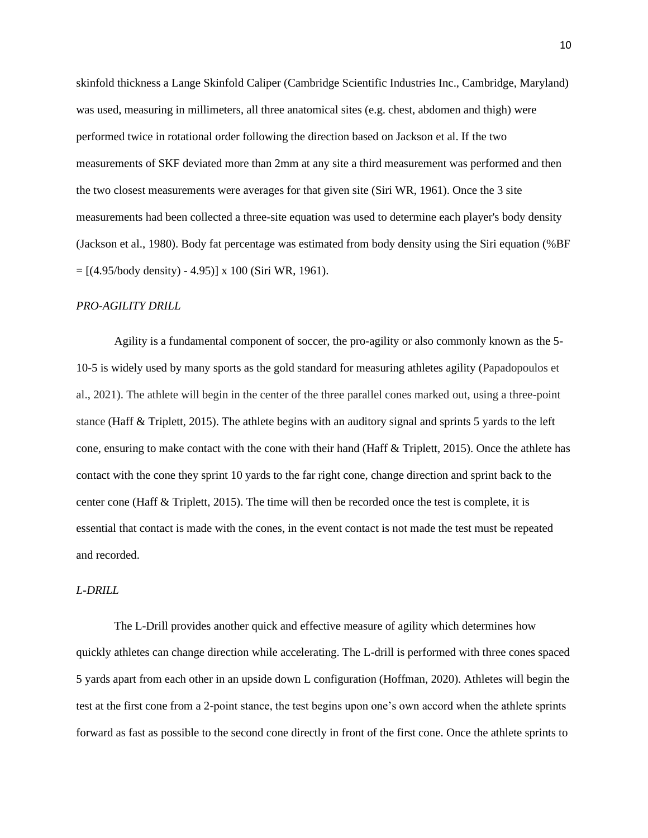skinfold thickness a Lange Skinfold Caliper (Cambridge Scientific Industries Inc., Cambridge, Maryland) was used, measuring in millimeters, all three anatomical sites (e.g. chest, abdomen and thigh) were performed twice in rotational order following the direction based on Jackson et al. If the two measurements of SKF deviated more than 2mm at any site a third measurement was performed and then the two closest measurements were averages for that given site (Siri WR, 1961). Once the 3 site measurements had been collected a three-site equation was used to determine each player's body density (Jackson et al., 1980). Body fat percentage was estimated from body density using the Siri equation (%BF  $= [(4.95/body density) - 4.95] x 100 (Siri WR, 1961).$ 

#### *PRO-AGILITY DRILL*

Agility is a fundamental component of soccer, the pro-agility or also commonly known as the 5- 10-5 is widely used by many sports as the gold standard for measuring athletes agility (Papadopoulos et al., 2021). The athlete will begin in the center of the three parallel cones marked out, using a three-point stance (Haff & Triplett, 2015). The athlete begins with an auditory signal and sprints 5 yards to the left cone, ensuring to make contact with the cone with their hand (Haff & Triplett, 2015). Once the athlete has contact with the cone they sprint 10 yards to the far right cone, change direction and sprint back to the center cone (Haff & Triplett, 2015). The time will then be recorded once the test is complete, it is essential that contact is made with the cones, in the event contact is not made the test must be repeated and recorded.

#### *L-DRILL*

 The L-Drill provides another quick and effective measure of agility which determines how quickly athletes can change direction while accelerating. The L-drill is performed with three cones spaced 5 yards apart from each other in an upside down L configuration (Hoffman, 2020). Athletes will begin the test at the first cone from a 2-point stance, the test begins upon one's own accord when the athlete sprints forward as fast as possible to the second cone directly in front of the first cone. Once the athlete sprints to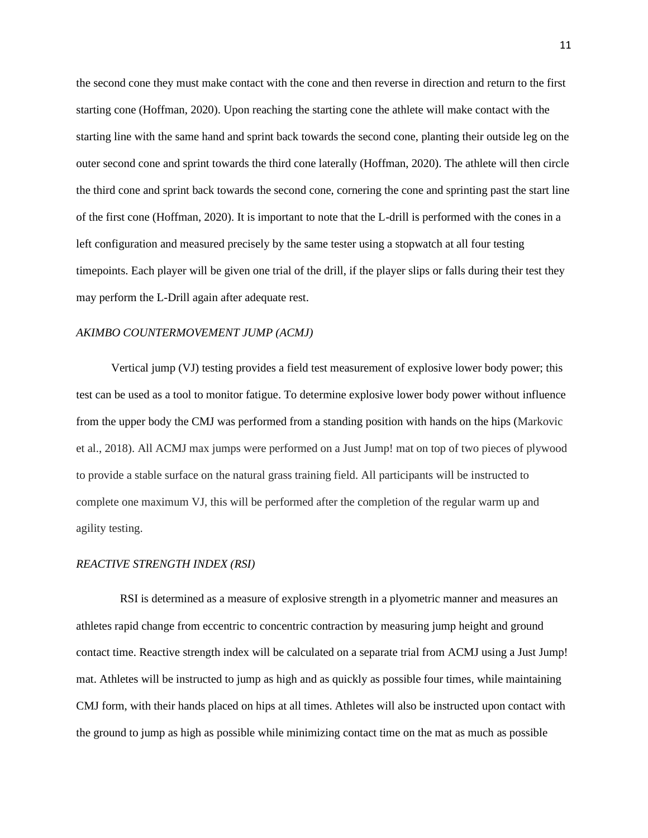the second cone they must make contact with the cone and then reverse in direction and return to the first starting cone (Hoffman, 2020). Upon reaching the starting cone the athlete will make contact with the starting line with the same hand and sprint back towards the second cone, planting their outside leg on the outer second cone and sprint towards the third cone laterally (Hoffman, 2020). The athlete will then circle the third cone and sprint back towards the second cone, cornering the cone and sprinting past the start line of the first cone (Hoffman, 2020). It is important to note that the L-drill is performed with the cones in a left configuration and measured precisely by the same tester using a stopwatch at all four testing timepoints. Each player will be given one trial of the drill, if the player slips or falls during their test they may perform the L-Drill again after adequate rest.

#### *AKIMBO COUNTERMOVEMENT JUMP (ACMJ)*

 Vertical jump (VJ) testing provides a field test measurement of explosive lower body power; this test can be used as a tool to monitor fatigue. To determine explosive lower body power without influence from the upper body the CMJ was performed from a standing position with hands on the hips (Markovic et al., 2018). All ACMJ max jumps were performed on a Just Jump! mat on top of two pieces of plywood to provide a stable surface on the natural grass training field. All participants will be instructed to complete one maximum VJ, this will be performed after the completion of the regular warm up and agility testing.

#### *REACTIVE STRENGTH INDEX (RSI)*

 RSI is determined as a measure of explosive strength in a plyometric manner and measures an athletes rapid change from eccentric to concentric contraction by measuring jump height and ground contact time. Reactive strength index will be calculated on a separate trial from ACMJ using a Just Jump! mat. Athletes will be instructed to jump as high and as quickly as possible four times, while maintaining CMJ form, with their hands placed on hips at all times. Athletes will also be instructed upon contact with the ground to jump as high as possible while minimizing contact time on the mat as much as possible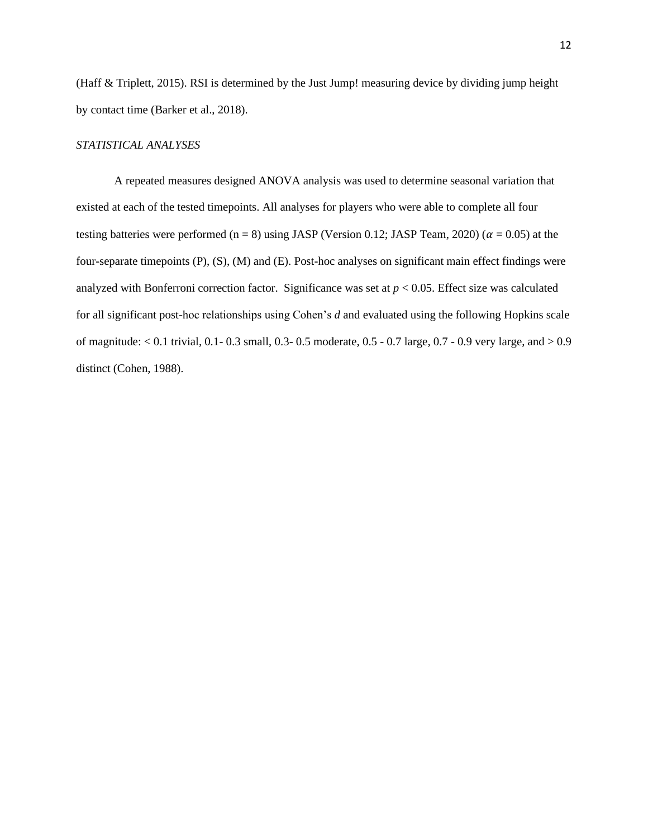(Haff & Triplett, 2015). RSI is determined by the Just Jump! measuring device by dividing jump height by contact time (Barker et al., 2018).

## *STATISTICAL ANALYSES*

A repeated measures designed ANOVA analysis was used to determine seasonal variation that existed at each of the tested timepoints. All analyses for players who were able to complete all four testing batteries were performed (n = 8) using JASP (Version 0.12; JASP Team, 2020) ( $\alpha$  = 0.05) at the four-separate timepoints (P), (S), (M) and (E). Post-hoc analyses on significant main effect findings were analyzed with Bonferroni correction factor. Significance was set at  $p < 0.05$ . Effect size was calculated for all significant post-hoc relationships using Cohen's *d* and evaluated using the following Hopkins scale of magnitude: < 0.1 trivial, 0.1- 0.3 small, 0.3- 0.5 moderate, 0.5 - 0.7 large, 0.7 - 0.9 very large, and > 0.9 distinct (Cohen, 1988).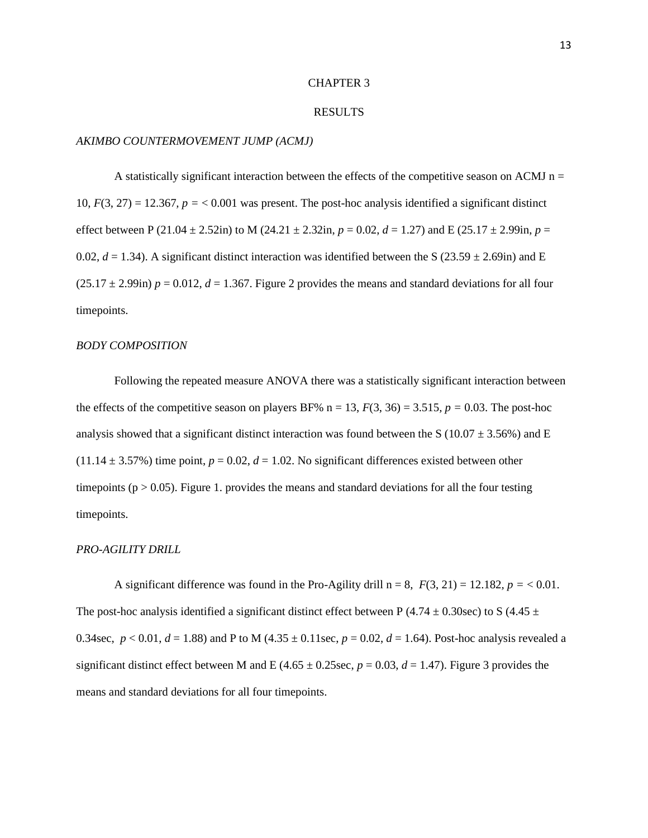#### RESULTS

#### *AKIMBO COUNTERMOVEMENT JUMP (ACMJ)*

A statistically significant interaction between the effects of the competitive season on ACMJ  $n =$ 10,  $F(3, 27) = 12.367$ ,  $p = < 0.001$  was present. The post-hoc analysis identified a significant distinct effect between P (21.04  $\pm$  2.52in) to M (24.21  $\pm$  2.32in, *p* = 0.02, *d* = 1.27) and E (25.17  $\pm$  2.99in, *p* = 0.02,  $d = 1.34$ ). A significant distinct interaction was identified between the S (23.59  $\pm$  2.69in) and E  $(25.17 \pm 2.99)$ in)  $p = 0.012$ ,  $d = 1.367$ . Figure 2 provides the means and standard deviations for all four timepoints.

#### *BODY COMPOSITION*

Following the repeated measure ANOVA there was a statistically significant interaction between the effects of the competitive season on players BF%  $n = 13$ ,  $F(3, 36) = 3.515$ ,  $p = 0.03$ . The post-hoc analysis showed that a significant distinct interaction was found between the S (10.07  $\pm$  3.56%) and E  $(11.14 \pm 3.57\%)$  time point,  $p = 0.02$ ,  $d = 1.02$ . No significant differences existed between other timepoints ( $p > 0.05$ ). Figure 1. provides the means and standard deviations for all the four testing timepoints.

#### *PRO-AGILITY DRILL*

A significant difference was found in the Pro-Agility drill  $n = 8$ ,  $F(3, 21) = 12.182$ ,  $p = 0.01$ . The post-hoc analysis identified a significant distinct effect between P (4.74  $\pm$  0.30sec) to S (4.45  $\pm$ 0.34sec,  $p < 0.01$ ,  $d = 1.88$ ) and P to M (4.35  $\pm$  0.11sec,  $p = 0.02$ ,  $d = 1.64$ ). Post-hoc analysis revealed a significant distinct effect between M and E (4.65  $\pm$  0.25sec, *p* = 0.03, *d* = 1.47). Figure 3 provides the means and standard deviations for all four timepoints.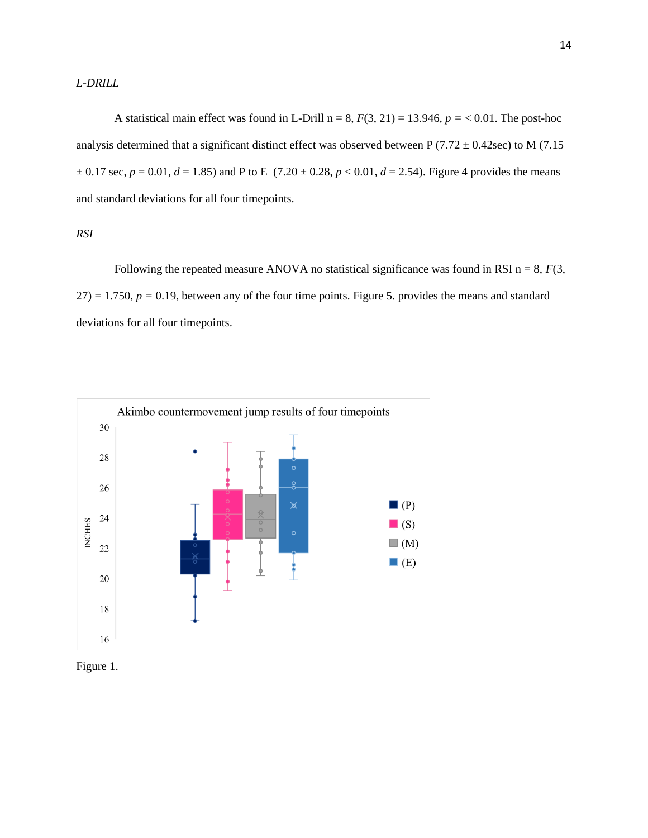*L-DRILL* 

A statistical main effect was found in L-Drill n = 8,  $F(3, 21) = 13.946$ ,  $p = < 0.01$ . The post-hoc analysis determined that a significant distinct effect was observed between P (7.72  $\pm$  0.42sec) to M (7.15  $\pm$  0.17 sec,  $p = 0.01$ ,  $d = 1.85$ ) and P to E (7.20  $\pm$  0.28,  $p < 0.01$ ,  $d = 2.54$ ). Figure 4 provides the means and standard deviations for all four timepoints.

*RSI* 

Following the repeated measure ANOVA no statistical significance was found in RSI  $n = 8$ ,  $F(3)$ ,  $27$ ) = 1.750,  $p = 0.19$ , between any of the four time points. Figure 5. provides the means and standard deviations for all four timepoints.



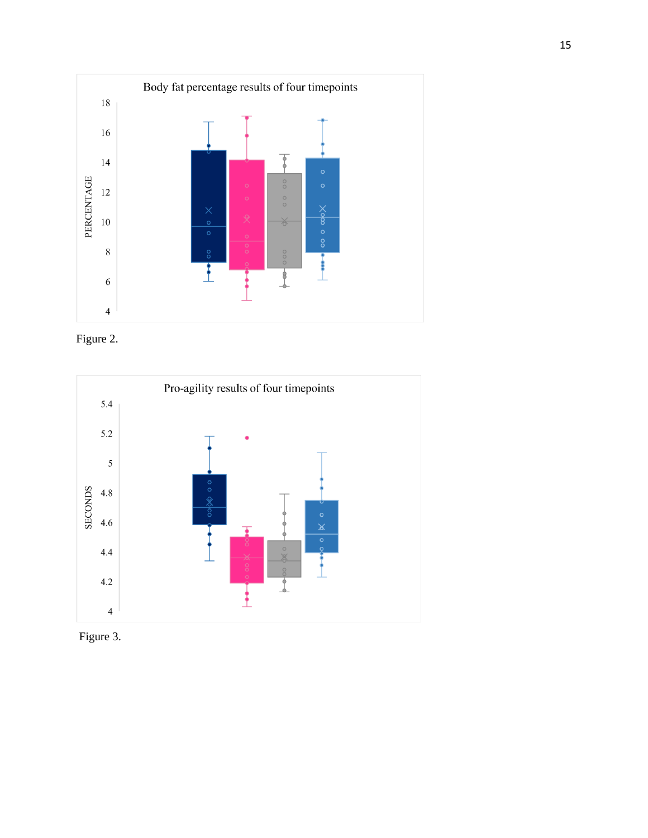





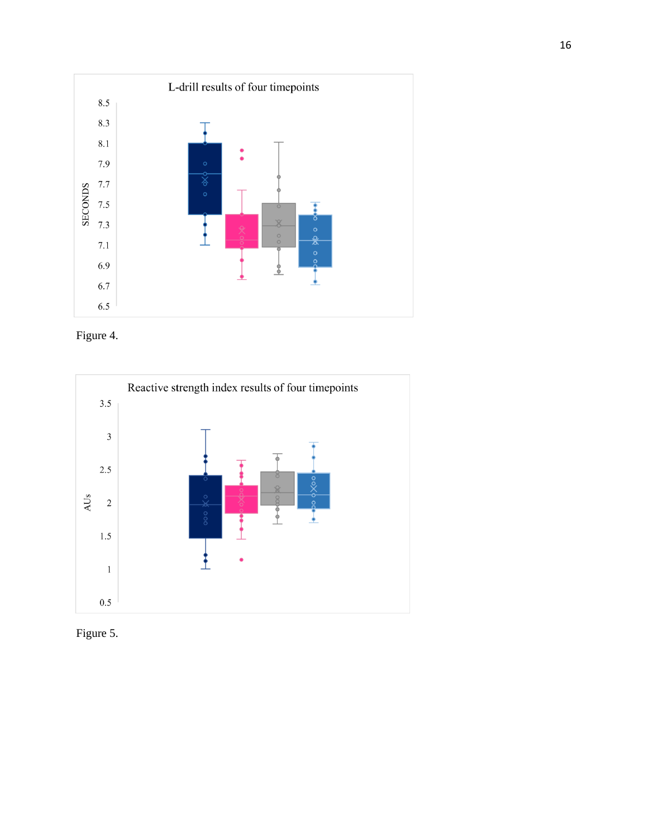





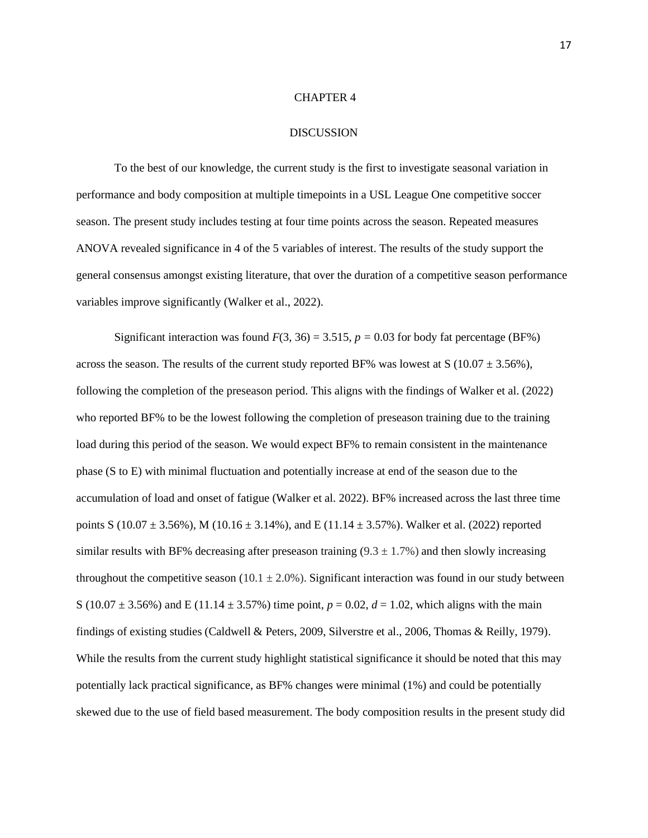#### **DISCUSSION**

To the best of our knowledge, the current study is the first to investigate seasonal variation in performance and body composition at multiple timepoints in a USL League One competitive soccer season. The present study includes testing at four time points across the season. Repeated measures ANOVA revealed significance in 4 of the 5 variables of interest. The results of the study support the general consensus amongst existing literature, that over the duration of a competitive season performance variables improve significantly (Walker et al., 2022).

Significant interaction was found  $F(3, 36) = 3.515$ ,  $p = 0.03$  for body fat percentage (BF%) across the season. The results of the current study reported BF% was lowest at S  $(10.07 \pm 3.56\%)$ , following the completion of the preseason period. This aligns with the findings of Walker et al. (2022) who reported BF% to be the lowest following the completion of preseason training due to the training load during this period of the season. We would expect BF% to remain consistent in the maintenance phase (S to E) with minimal fluctuation and potentially increase at end of the season due to the accumulation of load and onset of fatigue (Walker et al. 2022). BF% increased across the last three time points S (10.07  $\pm$  3.56%), M (10.16  $\pm$  3.14%), and E (11.14  $\pm$  3.57%). Walker et al. (2022) reported similar results with BF% decreasing after preseason training  $(9.3 \pm 1.7\%)$  and then slowly increasing throughout the competitive season (10.1  $\pm$  2.0%). Significant interaction was found in our study between S (10.07  $\pm$  3.56%) and E (11.14  $\pm$  3.57%) time point,  $p = 0.02$ ,  $d = 1.02$ , which aligns with the main findings of existing studies (Caldwell & Peters, 2009, Silverstre et al., 2006, Thomas & Reilly, 1979). While the results from the current study highlight statistical significance it should be noted that this may potentially lack practical significance, as BF% changes were minimal (1%) and could be potentially skewed due to the use of field based measurement. The body composition results in the present study did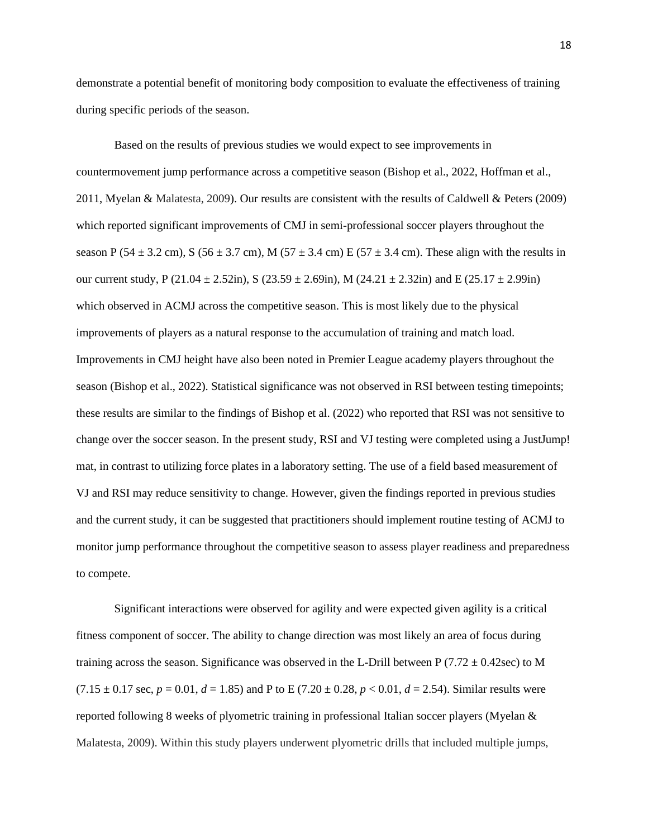demonstrate a potential benefit of monitoring body composition to evaluate the effectiveness of training during specific periods of the season.

Based on the results of previous studies we would expect to see improvements in countermovement jump performance across a competitive season (Bishop et al., 2022, Hoffman et al., 2011, Myelan & Malatesta, 2009). Our results are consistent with the results of Caldwell & Peters (2009) which reported significant improvements of CMJ in semi-professional soccer players throughout the season P (54  $\pm$  3.2 cm), S (56  $\pm$  3.7 cm), M (57  $\pm$  3.4 cm) E (57  $\pm$  3.4 cm). These align with the results in our current study, P (21.04  $\pm$  2.52in), S (23.59  $\pm$  2.69in), M (24.21  $\pm$  2.32in) and E (25.17  $\pm$  2.99in) which observed in ACMJ across the competitive season. This is most likely due to the physical improvements of players as a natural response to the accumulation of training and match load. Improvements in CMJ height have also been noted in Premier League academy players throughout the season (Bishop et al., 2022). Statistical significance was not observed in RSI between testing timepoints; these results are similar to the findings of Bishop et al. (2022) who reported that RSI was not sensitive to change over the soccer season. In the present study, RSI and VJ testing were completed using a JustJump! mat, in contrast to utilizing force plates in a laboratory setting. The use of a field based measurement of VJ and RSI may reduce sensitivity to change. However, given the findings reported in previous studies and the current study, it can be suggested that practitioners should implement routine testing of ACMJ to monitor jump performance throughout the competitive season to assess player readiness and preparedness to compete.

Significant interactions were observed for agility and were expected given agility is a critical fitness component of soccer. The ability to change direction was most likely an area of focus during training across the season. Significance was observed in the L-Drill between P (7.72  $\pm$  0.42sec) to M  $(7.15 \pm 0.17 \text{ sec}, p = 0.01, d = 1.85)$  and P to E  $(7.20 \pm 0.28, p < 0.01, d = 2.54)$ . Similar results were reported following 8 weeks of plyometric training in professional Italian soccer players (Myelan & Malatesta, 2009). Within this study players underwent plyometric drills that included multiple jumps,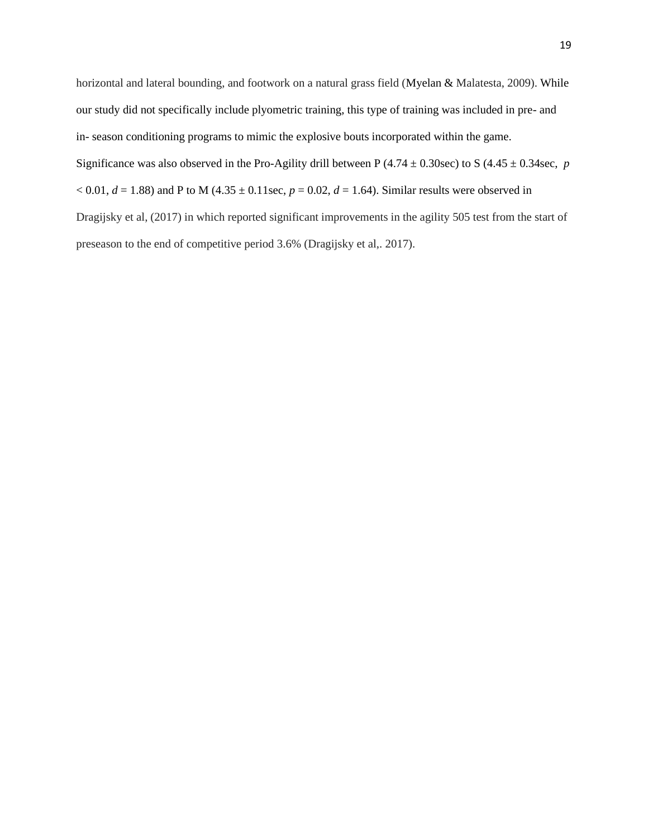horizontal and lateral bounding, and footwork on a natural grass field (Myelan & Malatesta, 2009). While our study did not specifically include plyometric training, this type of training was included in pre- and in- season conditioning programs to mimic the explosive bouts incorporated within the game. Significance was also observed in the Pro-Agility drill between P  $(4.74 \pm 0.30 \text{ sec})$  to S  $(4.45 \pm 0.34 \text{ sec}, p$  $(0.01, d = 1.88)$  and P to M (4.35  $\pm$  0.11sec,  $p = 0.02, d = 1.64$ ). Similar results were observed in Dragijsky et al, (2017) in which reported significant improvements in the agility 505 test from the start of preseason to the end of competitive period 3.6% (Dragijsky et al,. 2017).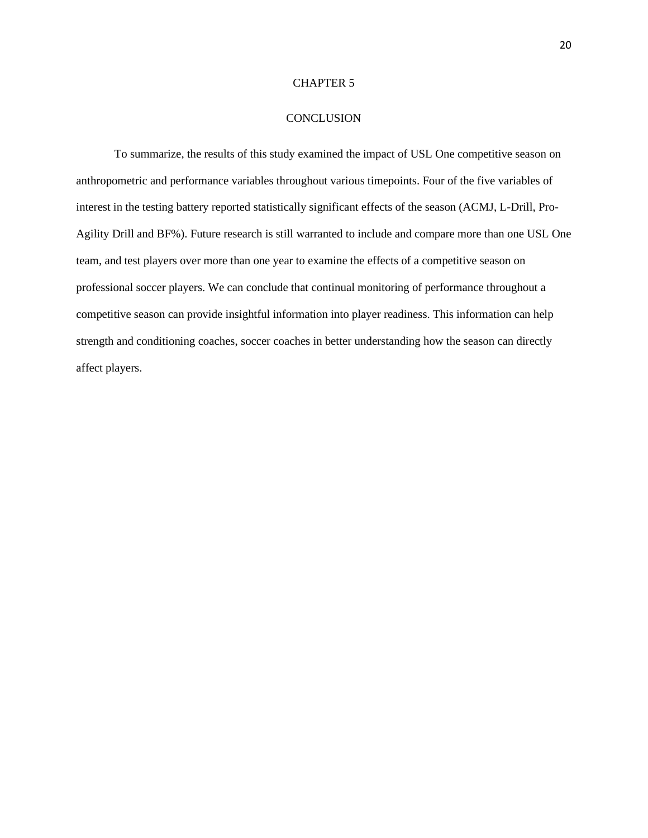#### **CONCLUSION**

To summarize, the results of this study examined the impact of USL One competitive season on anthropometric and performance variables throughout various timepoints. Four of the five variables of interest in the testing battery reported statistically significant effects of the season (ACMJ, L-Drill, Pro-Agility Drill and BF%). Future research is still warranted to include and compare more than one USL One team, and test players over more than one year to examine the effects of a competitive season on professional soccer players. We can conclude that continual monitoring of performance throughout a competitive season can provide insightful information into player readiness. This information can help strength and conditioning coaches, soccer coaches in better understanding how the season can directly affect players.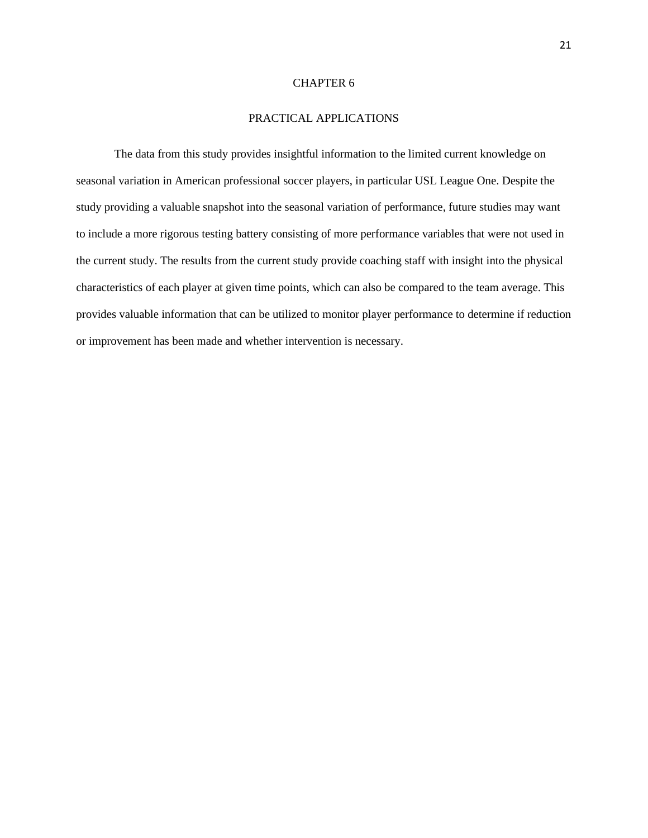# PRACTICAL APPLICATIONS

The data from this study provides insightful information to the limited current knowledge on seasonal variation in American professional soccer players, in particular USL League One. Despite the study providing a valuable snapshot into the seasonal variation of performance, future studies may want to include a more rigorous testing battery consisting of more performance variables that were not used in the current study. The results from the current study provide coaching staff with insight into the physical characteristics of each player at given time points, which can also be compared to the team average. This provides valuable information that can be utilized to monitor player performance to determine if reduction or improvement has been made and whether intervention is necessary.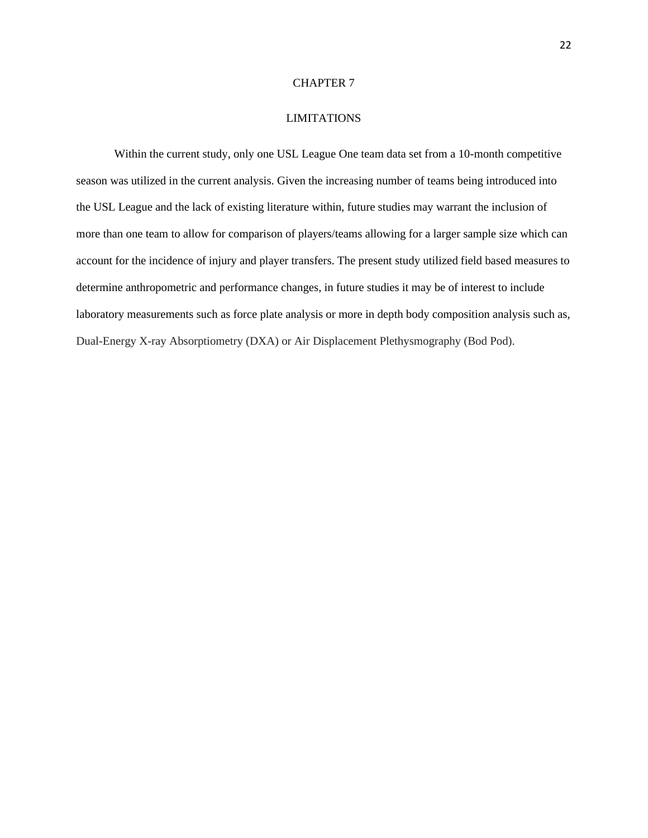#### LIMITATIONS

Within the current study, only one USL League One team data set from a 10-month competitive season was utilized in the current analysis. Given the increasing number of teams being introduced into the USL League and the lack of existing literature within, future studies may warrant the inclusion of more than one team to allow for comparison of players/teams allowing for a larger sample size which can account for the incidence of injury and player transfers. The present study utilized field based measures to determine anthropometric and performance changes, in future studies it may be of interest to include laboratory measurements such as force plate analysis or more in depth body composition analysis such as, Dual-Energy X-ray Absorptiometry (DXA) or Air Displacement Plethysmography (Bod Pod).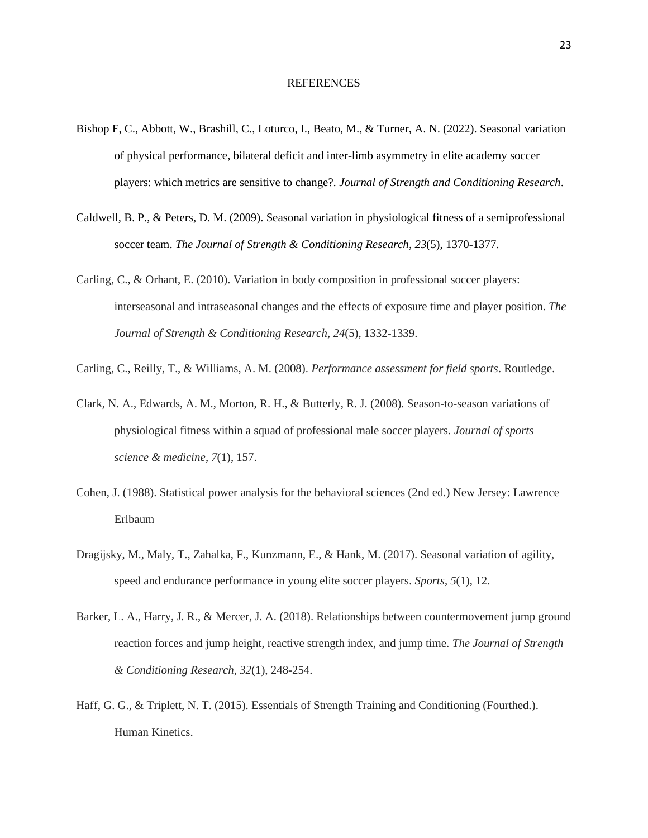#### REFERENCES

- Bishop F, C., Abbott, W., Brashill, C., Loturco, I., Beato, M., & Turner, A. N. (2022). Seasonal variation of physical performance, bilateral deficit and inter-limb asymmetry in elite academy soccer players: which metrics are sensitive to change?. *Journal of Strength and Conditioning Research*.
- Caldwell, B. P., & Peters, D. M. (2009). Seasonal variation in physiological fitness of a semiprofessional soccer team. *The Journal of Strength & Conditioning Research*, *23*(5), 1370-1377.
- Carling, C., & Orhant, E. (2010). Variation in body composition in professional soccer players: interseasonal and intraseasonal changes and the effects of exposure time and player position. *The Journal of Strength & Conditioning Research*, *24*(5), 1332-1339.
- Carling, C., Reilly, T., & Williams, A. M. (2008). *Performance assessment for field sports*. Routledge.
- Clark, N. A., Edwards, A. M., Morton, R. H., & Butterly, R. J. (2008). Season-to-season variations of physiological fitness within a squad of professional male soccer players. *Journal of sports science & medicine*, *7*(1), 157.
- Cohen, J. (1988). Statistical power analysis for the behavioral sciences (2nd ed.) New Jersey: Lawrence Erlbaum
- Dragijsky, M., Maly, T., Zahalka, F., Kunzmann, E., & Hank, M. (2017). Seasonal variation of agility, speed and endurance performance in young elite soccer players. *Sports*, *5*(1), 12.
- Barker, L. A., Harry, J. R., & Mercer, J. A. (2018). Relationships between countermovement jump ground reaction forces and jump height, reactive strength index, and jump time. *The Journal of Strength & Conditioning Research*, *32*(1), 248-254.
- Haff, G. G., & Triplett, N. T. (2015). Essentials of Strength Training and Conditioning (Fourthed.). Human Kinetics.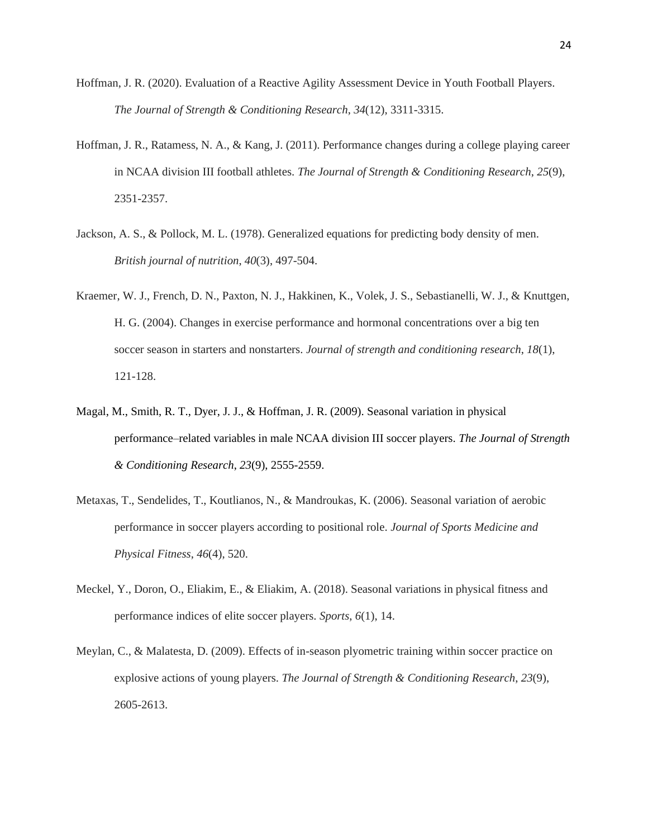- Hoffman, J. R. (2020). Evaluation of a Reactive Agility Assessment Device in Youth Football Players. *The Journal of Strength & Conditioning Research*, *34*(12), 3311-3315.
- Hoffman, J. R., Ratamess, N. A., & Kang, J. (2011). Performance changes during a college playing career in NCAA division III football athletes. *The Journal of Strength & Conditioning Research*, *25*(9), 2351-2357.
- Jackson, A. S., & Pollock, M. L. (1978). Generalized equations for predicting body density of men. *British journal of nutrition*, *40*(3), 497-504.
- Kraemer, W. J., French, D. N., Paxton, N. J., Hakkinen, K., Volek, J. S., Sebastianelli, W. J., & Knuttgen, H. G. (2004). Changes in exercise performance and hormonal concentrations over a big ten soccer season in starters and nonstarters. *Journal of strength and conditioning research*, *18*(1), 121-128.
- Magal, M., Smith, R. T., Dyer, J. J., & Hoffman, J. R. (2009). Seasonal variation in physical performance–related variables in male NCAA division III soccer players. *The Journal of Strength & Conditioning Research*, *23*(9), 2555-2559.
- Metaxas, T., Sendelides, T., Koutlianos, N., & Mandroukas, K. (2006). Seasonal variation of aerobic performance in soccer players according to positional role. *Journal of Sports Medicine and Physical Fitness*, *46*(4), 520.
- Meckel, Y., Doron, O., Eliakim, E., & Eliakim, A. (2018). Seasonal variations in physical fitness and performance indices of elite soccer players. *Sports*, *6*(1), 14.
- Meylan, C., & Malatesta, D. (2009). Effects of in-season plyometric training within soccer practice on explosive actions of young players. *The Journal of Strength & Conditioning Research*, *23*(9), 2605-2613.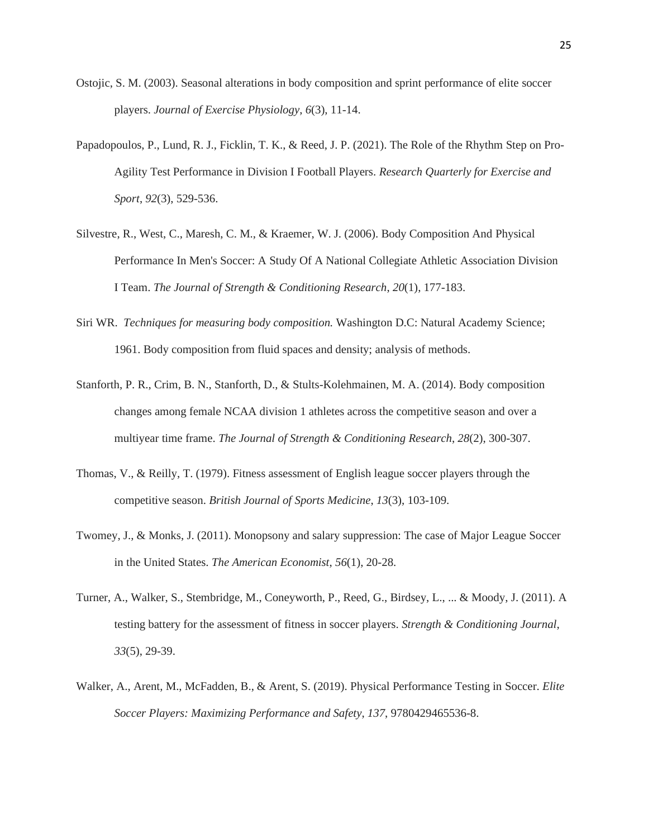- Ostojic, S. M. (2003). Seasonal alterations in body composition and sprint performance of elite soccer players. *Journal of Exercise Physiology*, *6*(3), 11-14.
- Papadopoulos, P., Lund, R. J., Ficklin, T. K., & Reed, J. P. (2021). The Role of the Rhythm Step on Pro-Agility Test Performance in Division I Football Players. *Research Quarterly for Exercise and Sport*, *92*(3), 529-536.
- Silvestre, R., West, C., Maresh, C. M., & Kraemer, W. J. (2006). Body Composition And Physical Performance In Men's Soccer: A Study Of A National Collegiate Athletic Association Division I Team. *The Journal of Strength & Conditioning Research*, *20*(1), 177-183.
- Siri WR. *Techniques for measuring body composition.* Washington D.C: Natural Academy Science; 1961. Body composition from fluid spaces and density; analysis of methods.
- Stanforth, P. R., Crim, B. N., Stanforth, D., & Stults-Kolehmainen, M. A. (2014). Body composition changes among female NCAA division 1 athletes across the competitive season and over a multiyear time frame. *The Journal of Strength & Conditioning Research*, *28*(2), 300-307.
- Thomas, V., & Reilly, T. (1979). Fitness assessment of English league soccer players through the competitive season. *British Journal of Sports Medicine*, *13*(3), 103-109.
- Twomey, J., & Monks, J. (2011). Monopsony and salary suppression: The case of Major League Soccer in the United States. *The American Economist*, *56*(1), 20-28.
- Turner, A., Walker, S., Stembridge, M., Coneyworth, P., Reed, G., Birdsey, L., ... & Moody, J. (2011). A testing battery for the assessment of fitness in soccer players. *Strength & Conditioning Journal*, *33*(5), 29-39.
- Walker, A., Arent, M., McFadden, B., & Arent, S. (2019). Physical Performance Testing in Soccer. *Elite Soccer Players: Maximizing Performance and Safety*, *137*, 9780429465536-8.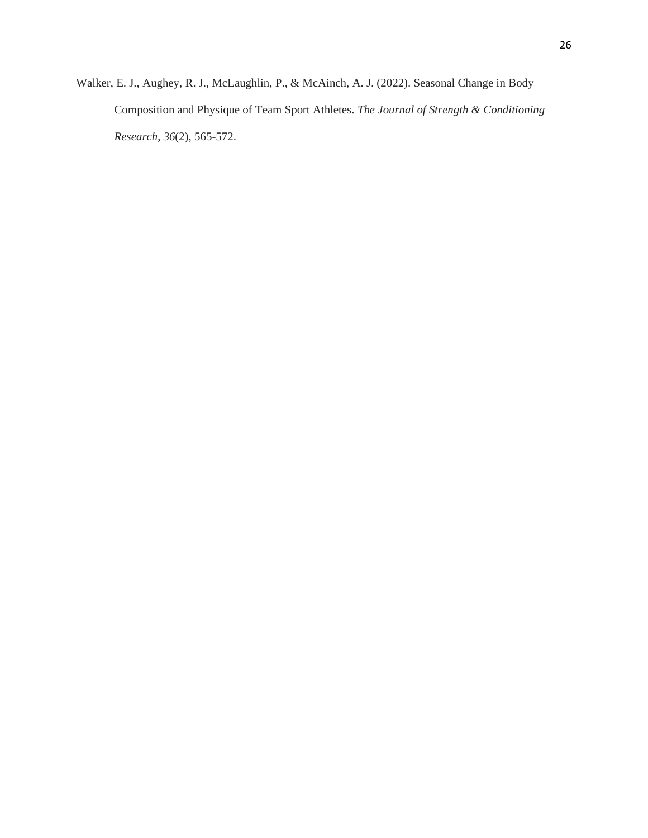Walker, E. J., Aughey, R. J., McLaughlin, P., & McAinch, A. J. (2022). Seasonal Change in Body Composition and Physique of Team Sport Athletes. *The Journal of Strength & Conditioning Research*, *36*(2), 565-572.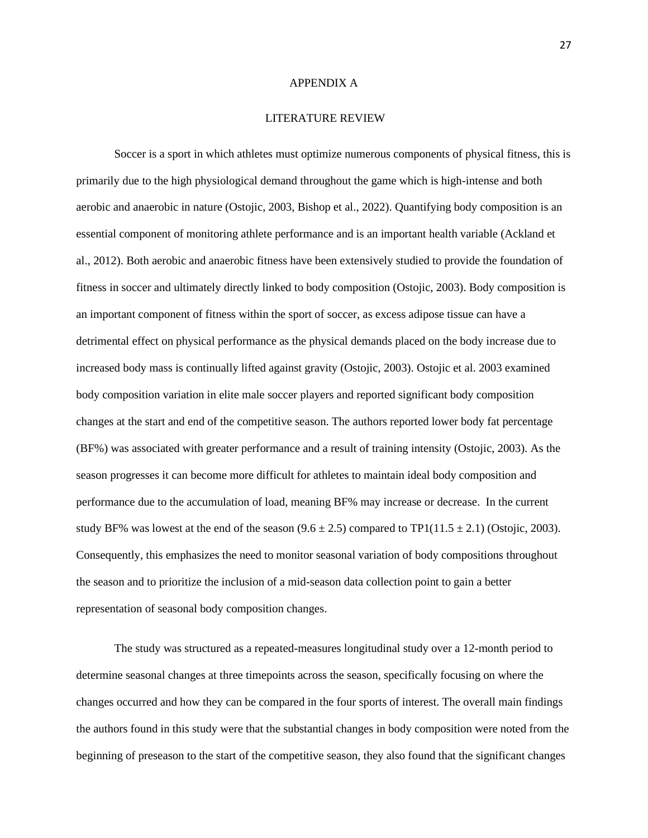#### APPENDIX A

#### LITERATURE REVIEW

Soccer is a sport in which athletes must optimize numerous components of physical fitness, this is primarily due to the high physiological demand throughout the game which is high-intense and both aerobic and anaerobic in nature (Ostojic, 2003, Bishop et al., 2022). Quantifying body composition is an essential component of monitoring athlete performance and is an important health variable (Ackland et al., 2012). Both aerobic and anaerobic fitness have been extensively studied to provide the foundation of fitness in soccer and ultimately directly linked to body composition (Ostojic, 2003). Body composition is an important component of fitness within the sport of soccer, as excess adipose tissue can have a detrimental effect on physical performance as the physical demands placed on the body increase due to increased body mass is continually lifted against gravity (Ostojic, 2003). Ostojic et al. 2003 examined body composition variation in elite male soccer players and reported significant body composition changes at the start and end of the competitive season. The authors reported lower body fat percentage (BF%) was associated with greater performance and a result of training intensity (Ostojic, 2003). As the season progresses it can become more difficult for athletes to maintain ideal body composition and performance due to the accumulation of load, meaning BF% may increase or decrease. In the current study BF% was lowest at the end of the season  $(9.6 \pm 2.5)$  compared to TP1(11.5  $\pm$  2.1) (Ostojic, 2003). Consequently, this emphasizes the need to monitor seasonal variation of body compositions throughout the season and to prioritize the inclusion of a mid-season data collection point to gain a better representation of seasonal body composition changes.

The study was structured as a repeated-measures longitudinal study over a 12-month period to determine seasonal changes at three timepoints across the season, specifically focusing on where the changes occurred and how they can be compared in the four sports of interest. The overall main findings the authors found in this study were that the substantial changes in body composition were noted from the beginning of preseason to the start of the competitive season, they also found that the significant changes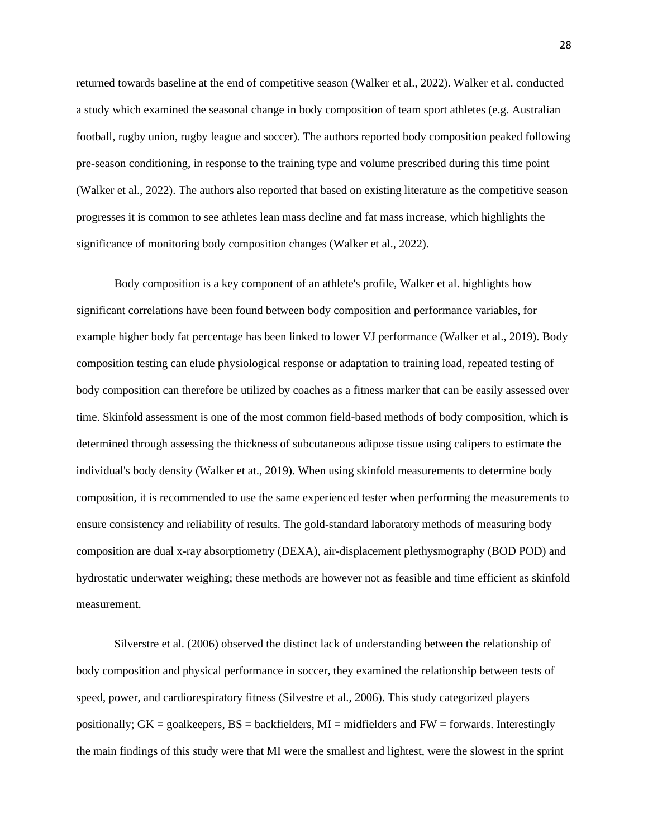returned towards baseline at the end of competitive season (Walker et al., 2022). Walker et al. conducted a study which examined the seasonal change in body composition of team sport athletes (e.g. Australian football, rugby union, rugby league and soccer). The authors reported body composition peaked following pre-season conditioning, in response to the training type and volume prescribed during this time point (Walker et al., 2022). The authors also reported that based on existing literature as the competitive season progresses it is common to see athletes lean mass decline and fat mass increase, which highlights the significance of monitoring body composition changes (Walker et al., 2022).

Body composition is a key component of an athlete's profile, Walker et al. highlights how significant correlations have been found between body composition and performance variables, for example higher body fat percentage has been linked to lower VJ performance (Walker et al., 2019). Body composition testing can elude physiological response or adaptation to training load, repeated testing of body composition can therefore be utilized by coaches as a fitness marker that can be easily assessed over time. Skinfold assessment is one of the most common field-based methods of body composition, which is determined through assessing the thickness of subcutaneous adipose tissue using calipers to estimate the individual's body density (Walker et at., 2019). When using skinfold measurements to determine body composition, it is recommended to use the same experienced tester when performing the measurements to ensure consistency and reliability of results. The gold-standard laboratory methods of measuring body composition are dual x-ray absorptiometry (DEXA), air-displacement plethysmography (BOD POD) and hydrostatic underwater weighing; these methods are however not as feasible and time efficient as skinfold measurement.

Silverstre et al. (2006) observed the distinct lack of understanding between the relationship of body composition and physical performance in soccer, they examined the relationship between tests of speed, power, and cardiorespiratory fitness (Silvestre et al., 2006). This study categorized players positionally;  $GK = \text{goalkeepers}, BS = \text{backfields}, MI = \text{midfields}$  and  $FW = \text{forward}$ . Interestingly the main findings of this study were that MI were the smallest and lightest, were the slowest in the sprint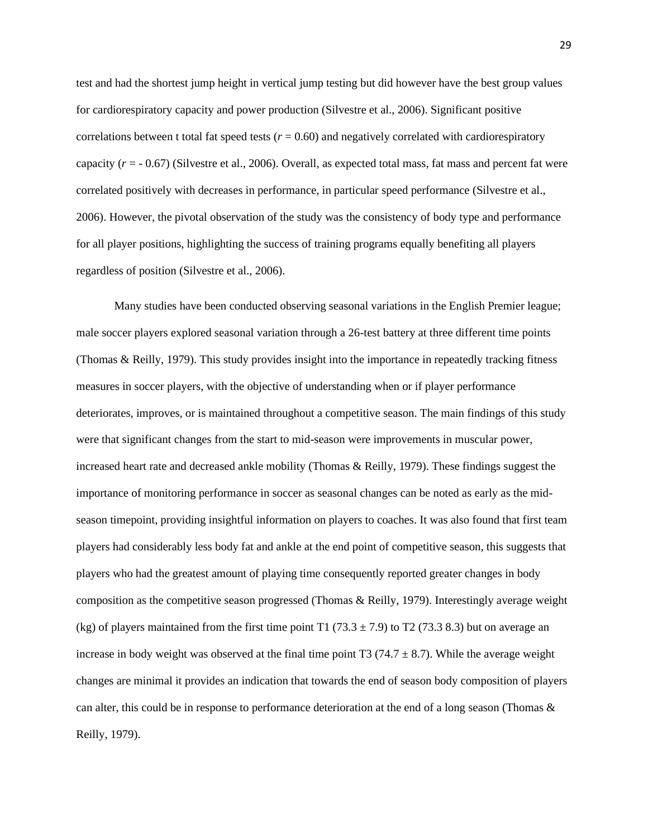test and had the shortest jump height in vertical jump testing but did however have the best group values for cardiorespiratory capacity and power production (Silvestre et al., 2006). Significant positive correlations between t total fat speed tests  $(r = 0.60)$  and negatively correlated with cardiorespiratory capacity (*r* = - 0.67) (Silvestre et al., 2006). Overall, as expected total mass, fat mass and percent fat were correlated positively with decreases in performance, in particular speed performance (Silvestre et al., 2006). However, the pivotal observation of the study was the consistency of body type and performance for all player positions, highlighting the success of training programs equally benefiting all players regardless of position (Silvestre et al., 2006).

Many studies have been conducted observing seasonal variations in the English Premier league; male soccer players explored seasonal variation through a 26-test battery at three different time points (Thomas & Reilly, 1979). This study provides insight into the importance in repeatedly tracking fitness measures in soccer players, with the objective of understanding when or if player performance deteriorates, improves, or is maintained throughout a competitive season. The main findings of this study were that significant changes from the start to mid-season were improvements in muscular power, increased heart rate and decreased ankle mobility (Thomas & Reilly, 1979). These findings suggest the importance of monitoring performance in soccer as seasonal changes can be noted as early as the midseason timepoint, providing insightful information on players to coaches. It was also found that first team players had considerably less body fat and ankle at the end point of competitive season, this suggests that players who had the greatest amount of playing time consequently reported greater changes in body composition as the competitive season progressed (Thomas & Reilly, 1979). Interestingly average weight (kg) of players maintained from the first time point T1 (73.3  $\pm$  7.9) to T2 (73.3 8.3) but on average an increase in body weight was observed at the final time point T3 (74.7  $\pm$  8.7). While the average weight changes are minimal it provides an indication that towards the end of season body composition of players can alter, this could be in response to performance deterioration at the end of a long season (Thomas & Reilly, 1979).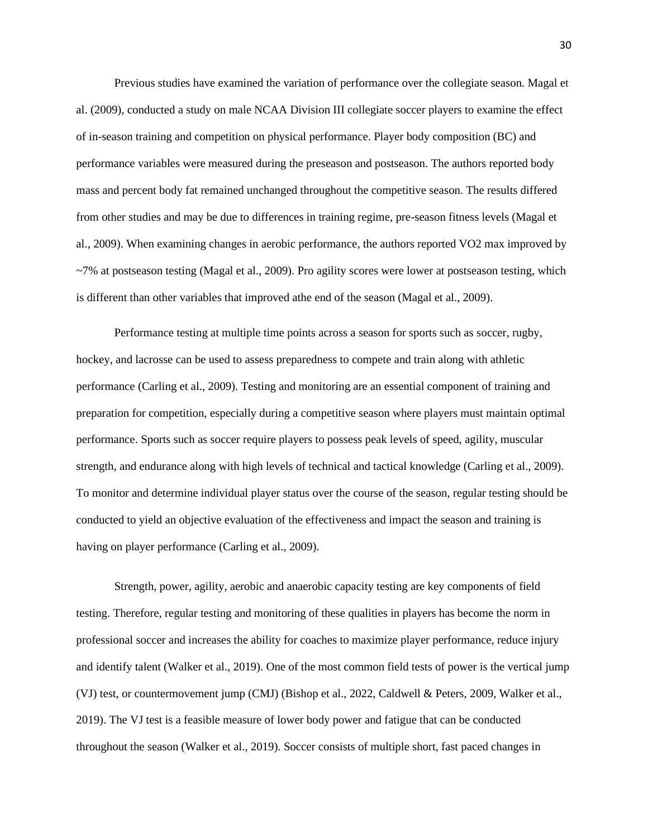Previous studies have examined the variation of performance over the collegiate season. Magal et al. (2009), conducted a study on male NCAA Division III collegiate soccer players to examine the effect of in-season training and competition on physical performance. Player body composition (BC) and performance variables were measured during the preseason and postseason. The authors reported body mass and percent body fat remained unchanged throughout the competitive season. The results differed from other studies and may be due to differences in training regime, pre-season fitness levels (Magal et al., 2009). When examining changes in aerobic performance, the authors reported VO2 max improved by ~7% at postseason testing (Magal et al., 2009). Pro agility scores were lower at postseason testing, which is different than other variables that improved athe end of the season (Magal et al., 2009).

Performance testing at multiple time points across a season for sports such as soccer, rugby, hockey, and lacrosse can be used to assess preparedness to compete and train along with athletic performance (Carling et al., 2009). Testing and monitoring are an essential component of training and preparation for competition, especially during a competitive season where players must maintain optimal performance. Sports such as soccer require players to possess peak levels of speed, agility, muscular strength, and endurance along with high levels of technical and tactical knowledge (Carling et al., 2009). To monitor and determine individual player status over the course of the season, regular testing should be conducted to yield an objective evaluation of the effectiveness and impact the season and training is having on player performance (Carling et al., 2009).

Strength, power, agility, aerobic and anaerobic capacity testing are key components of field testing. Therefore, regular testing and monitoring of these qualities in players has become the norm in professional soccer and increases the ability for coaches to maximize player performance, reduce injury and identify talent (Walker et al., 2019). One of the most common field tests of power is the vertical jump (VJ) test, or countermovement jump (CMJ) (Bishop et al., 2022, Caldwell & Peters, 2009, Walker et al., 2019). The VJ test is a feasible measure of lower body power and fatigue that can be conducted throughout the season (Walker et al., 2019). Soccer consists of multiple short, fast paced changes in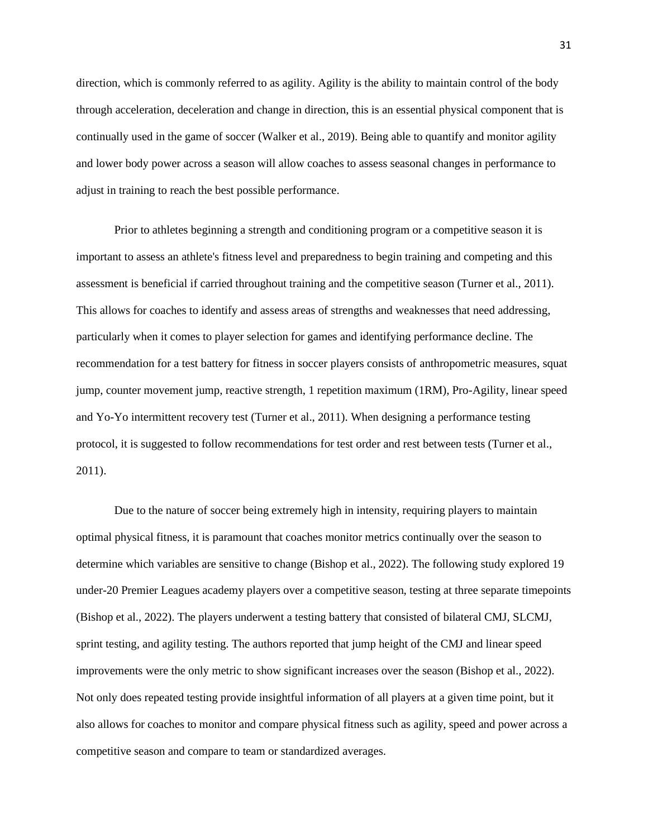direction, which is commonly referred to as agility. Agility is the ability to maintain control of the body through acceleration, deceleration and change in direction, this is an essential physical component that is continually used in the game of soccer (Walker et al., 2019). Being able to quantify and monitor agility and lower body power across a season will allow coaches to assess seasonal changes in performance to adjust in training to reach the best possible performance.

Prior to athletes beginning a strength and conditioning program or a competitive season it is important to assess an athlete's fitness level and preparedness to begin training and competing and this assessment is beneficial if carried throughout training and the competitive season (Turner et al., 2011). This allows for coaches to identify and assess areas of strengths and weaknesses that need addressing, particularly when it comes to player selection for games and identifying performance decline. The recommendation for a test battery for fitness in soccer players consists of anthropometric measures, squat jump, counter movement jump, reactive strength, 1 repetition maximum (1RM), Pro-Agility, linear speed and Yo-Yo intermittent recovery test (Turner et al., 2011). When designing a performance testing protocol, it is suggested to follow recommendations for test order and rest between tests (Turner et al., 2011).

Due to the nature of soccer being extremely high in intensity, requiring players to maintain optimal physical fitness, it is paramount that coaches monitor metrics continually over the season to determine which variables are sensitive to change (Bishop et al., 2022). The following study explored 19 under-20 Premier Leagues academy players over a competitive season, testing at three separate timepoints (Bishop et al., 2022). The players underwent a testing battery that consisted of bilateral CMJ, SLCMJ, sprint testing, and agility testing. The authors reported that jump height of the CMJ and linear speed improvements were the only metric to show significant increases over the season (Bishop et al., 2022). Not only does repeated testing provide insightful information of all players at a given time point, but it also allows for coaches to monitor and compare physical fitness such as agility, speed and power across a competitive season and compare to team or standardized averages.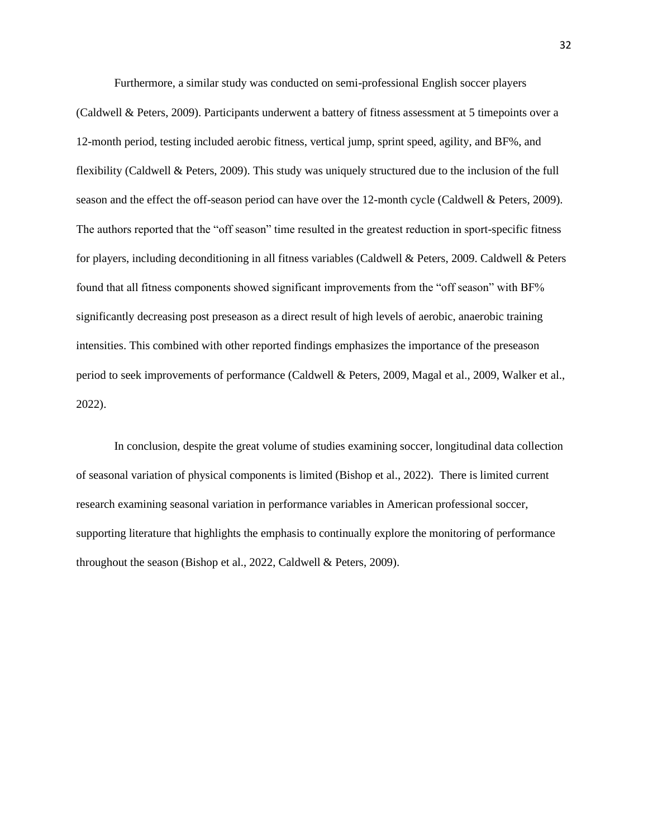Furthermore, a similar study was conducted on semi-professional English soccer players (Caldwell & Peters, 2009). Participants underwent a battery of fitness assessment at 5 timepoints over a 12-month period, testing included aerobic fitness, vertical jump, sprint speed, agility, and BF%, and flexibility (Caldwell & Peters, 2009). This study was uniquely structured due to the inclusion of the full season and the effect the off-season period can have over the 12-month cycle (Caldwell & Peters, 2009). The authors reported that the "off season" time resulted in the greatest reduction in sport-specific fitness for players, including deconditioning in all fitness variables (Caldwell & Peters, 2009. Caldwell & Peters found that all fitness components showed significant improvements from the "off season" with BF% significantly decreasing post preseason as a direct result of high levels of aerobic, anaerobic training intensities. This combined with other reported findings emphasizes the importance of the preseason period to seek improvements of performance (Caldwell & Peters, 2009, Magal et al., 2009, Walker et al., 2022).

In conclusion, despite the great volume of studies examining soccer, longitudinal data collection of seasonal variation of physical components is limited (Bishop et al., 2022). There is limited current research examining seasonal variation in performance variables in American professional soccer, supporting literature that highlights the emphasis to continually explore the monitoring of performance throughout the season (Bishop et al., 2022, Caldwell & Peters, 2009).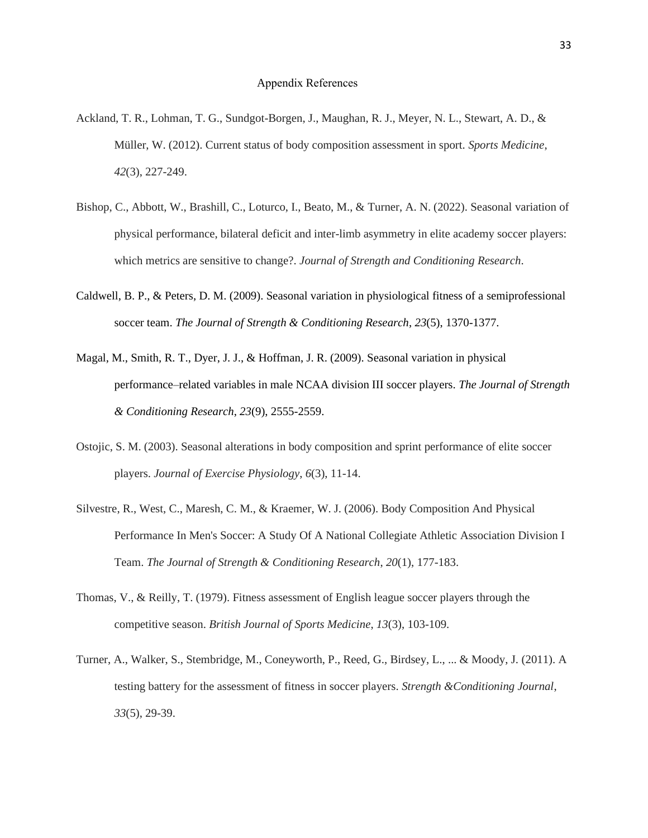- Ackland, T. R., Lohman, T. G., Sundgot-Borgen, J., Maughan, R. J., Meyer, N. L., Stewart, A. D., & Müller, W. (2012). Current status of body composition assessment in sport. *Sports Medicine*, *42*(3), 227-249.
- Bishop, C., Abbott, W., Brashill, C., Loturco, I., Beato, M., & Turner, A. N. (2022). Seasonal variation of physical performance, bilateral deficit and inter-limb asymmetry in elite academy soccer players: which metrics are sensitive to change?. *Journal of Strength and Conditioning Research*.
- Caldwell, B. P., & Peters, D. M. (2009). Seasonal variation in physiological fitness of a semiprofessional soccer team. *The Journal of Strength & Conditioning Research*, *23*(5), 1370-1377.
- Magal, M., Smith, R. T., Dyer, J. J., & Hoffman, J. R. (2009). Seasonal variation in physical performance–related variables in male NCAA division III soccer players. *The Journal of Strength & Conditioning Research*, *23*(9), 2555-2559.
- Ostojic, S. M. (2003). Seasonal alterations in body composition and sprint performance of elite soccer players. *Journal of Exercise Physiology*, *6*(3), 11-14.
- Silvestre, R., West, C., Maresh, C. M., & Kraemer, W. J. (2006). Body Composition And Physical Performance In Men's Soccer: A Study Of A National Collegiate Athletic Association Division I Team. *The Journal of Strength & Conditioning Research*, *20*(1), 177-183.
- Thomas, V., & Reilly, T. (1979). Fitness assessment of English league soccer players through the competitive season. *British Journal of Sports Medicine*, *13*(3), 103-109.
- Turner, A., Walker, S., Stembridge, M., Coneyworth, P., Reed, G., Birdsey, L., ... & Moody, J. (2011). A testing battery for the assessment of fitness in soccer players. *Strength &Conditioning Journal*, *33*(5), 29-39.